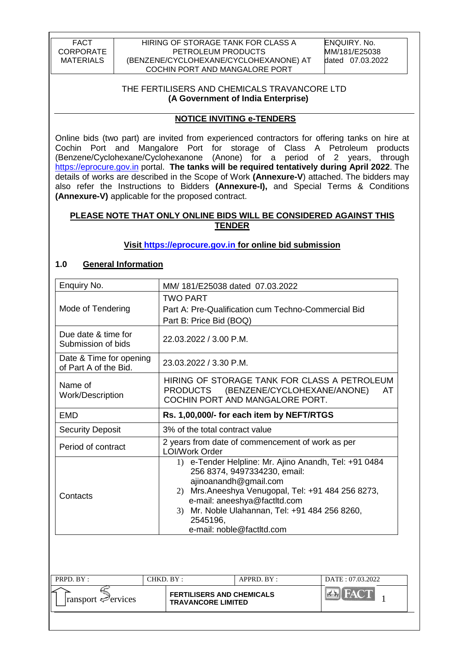### THE FERTILISERS AND CHEMICALS TRAVANCORE LTD **(A Government of India Enterprise)**

### **NOTICE INVITING e-TENDERS**

Online bids (two part) are invited from experienced contractors for offering tanks on hire at Cochin Port and Mangalore Port for storage of Class A Petroleum products (Benzene/Cyclohexane/Cyclohexanone (Anone) for a period of 2 years, through [https://eprocure.gov.in](https://eprocure.gov.in/) portal. **The tanks will be required tentatively during April 2022**. The details of works are described in the Scope of Work **(Annexure-V**) attached. The bidders may also refer the Instructions to Bidders **(Annexure-I),** and Special Terms & Conditions **(Annexure-V)** applicable for the proposed contract.

## **PLEASE NOTE THAT ONLY ONLINE BIDS WILL BE CONSIDERED AGAINST THIS TENDER**

## **Visit [https://eprocure.gov.in](https://eprocure.gov.in/) for online bid submission**

### **1.0 General Information**

| Enquiry No.                                      | MM/181/E25038 dated 07.03.2022                                                                                                                                                                                                                                                                    |  |  |  |
|--------------------------------------------------|---------------------------------------------------------------------------------------------------------------------------------------------------------------------------------------------------------------------------------------------------------------------------------------------------|--|--|--|
| Mode of Tendering                                | <b>TWO PART</b><br>Part A: Pre-Qualification cum Techno-Commercial Bid<br>Part B: Price Bid (BOQ)                                                                                                                                                                                                 |  |  |  |
| Due date & time for<br>Submission of bids        | 22.03.2022 / 3.00 P.M.                                                                                                                                                                                                                                                                            |  |  |  |
| Date & Time for opening<br>of Part A of the Bid. | 23.03.2022 / 3.30 P.M.                                                                                                                                                                                                                                                                            |  |  |  |
| Name of<br><b>Work/Description</b>               | HIRING OF STORAGE TANK FOR CLASS A PETROLEUM<br>PRODUCTS (BENZENE/CYCLOHEXANE/ANONE)<br>AT<br>COCHIN PORT AND MANGALORE PORT.                                                                                                                                                                     |  |  |  |
| EMD                                              | Rs. 1,00,000/- for each item by NEFT/RTGS                                                                                                                                                                                                                                                         |  |  |  |
| <b>Security Deposit</b>                          | 3% of the total contract value                                                                                                                                                                                                                                                                    |  |  |  |
| Period of contract                               | 2 years from date of commencement of work as per<br><b>LOI/Work Order</b>                                                                                                                                                                                                                         |  |  |  |
| Contacts                                         | 1) e-Tender Helpline: Mr. Ajino Anandh, Tel: +91 0484<br>256 8374, 9497334230, email:<br>ajinoanandh@gmail.com<br>Mrs.Aneeshya Venugopal, Tel: +91 484 256 8273,<br>2)<br>e-mail: aneeshya@factltd.com<br>3) Mr. Noble Ulahannan, Tel: +91 484 256 8260,<br>2545196,<br>e-mail: noble@factltd.com |  |  |  |

| PRPD. BY:                       | $HKD$ by :                                                    | $APPRD$ $BY:$ | DATE: 07.03.2022 |  |
|---------------------------------|---------------------------------------------------------------|---------------|------------------|--|
| $\lvert$ ransport $\ll$ ervices | <b>FERTILISERS AND CHEMICALS</b><br><b>TRAVANCORE LIMITED</b> |               |                  |  |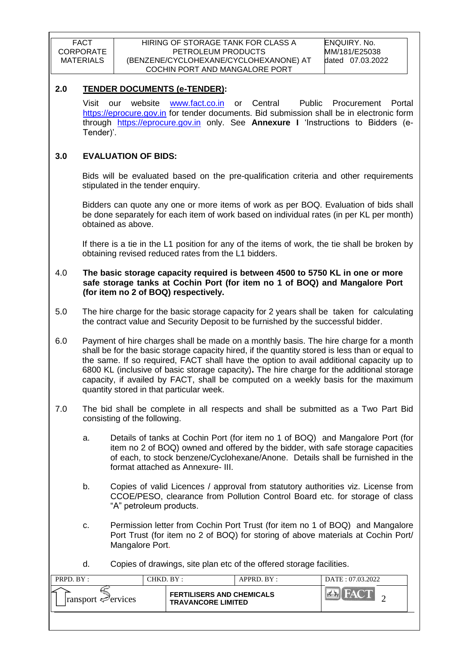### **2.0 TENDER DOCUMENTS (e-TENDER):**

Visit our website [www.fact.co.in](http://www.fact.co.in/) or Central Public Procurement Portal [https://eprocure.gov.in](https://eprocure.gov.in/) for tender documents. Bid submission shall be in electronic form through [https://eprocure.gov.in](https://eprocure.gov.in/) only. See **Annexure I** "Instructions to Bidders (e-Tender)'.

### **3.0 EVALUATION OF BIDS:**

Bids will be evaluated based on the pre-qualification criteria and other requirements stipulated in the tender enquiry.

Bidders can quote any one or more items of work as per BOQ. Evaluation of bids shall be done separately for each item of work based on individual rates (in per KL per month) obtained as above.

If there is a tie in the L1 position for any of the items of work, the tie shall be broken by obtaining revised reduced rates from the L1 bidders.

#### 4.0 **The basic storage capacity required is between 4500 to 5750 KL in one or more safe storage tanks at Cochin Port (for item no 1 of BOQ) and Mangalore Port (for item no 2 of BOQ) respectively.**

5.0 The hire charge for the basic storage capacity for 2 years shall be taken for calculating the contract value and Security Deposit to be furnished by the successful bidder.

6.0 Payment of hire charges shall be made on a monthly basis. The hire charge for a month shall be for the basic storage capacity hired, if the quantity stored is less than or equal to the same. If so required, FACT shall have the option to avail additional capacity up to 6800 KL (inclusive of basic storage capacity)**.** The hire charge for the additional storage capacity, if availed by FACT, shall be computed on a weekly basis for the maximum quantity stored in that particular week.

- 7.0 The bid shall be complete in all respects and shall be submitted as a Two Part Bid consisting of the following.
	- a. Details of tanks at Cochin Port (for item no 1 of BOQ) and Mangalore Port (for item no 2 of BOQ) owned and offered by the bidder, with safe storage capacities of each, to stock benzene/Cyclohexane/Anone. Details shall be furnished in the format attached as Annexure- III.
	- b. Copies of valid Licences / approval from statutory authorities viz. License from CCOE/PESO, clearance from Pollution Control Board etc. for storage of class "A" petroleum products.
	- c. Permission letter from Cochin Port Trust (for item no 1 of BOQ) and Mangalore Port Trust (for item no 2 of BOQ) for storing of above materials at Cochin Port/ Mangalore Port.

| d. |  | Copies of drawings, site plan etc of the offered storage facilities. |
|----|--|----------------------------------------------------------------------|
|    |  |                                                                      |

| PRPD. BY:                               | "HKD. BY :                                                    | $APPRD$ $BY$ : | DATE: 07.03.2022 |  |
|-----------------------------------------|---------------------------------------------------------------|----------------|------------------|--|
| $\lvert$ ransport $\mathcal{P}$ ervices | <b>FERTILISERS AND CHEMICALS</b><br><b>TRAVANCORE LIMITED</b> |                |                  |  |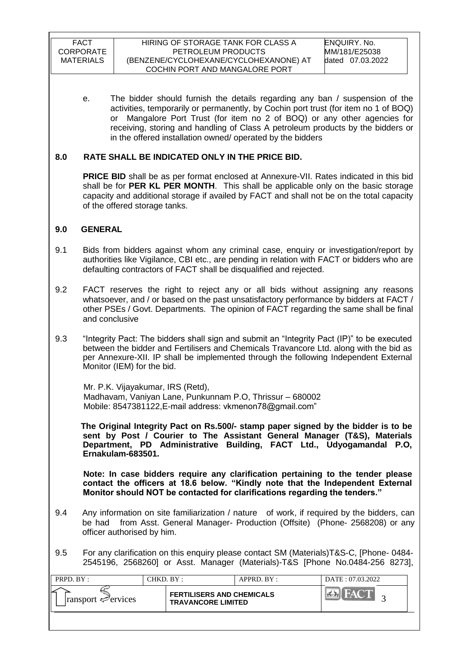e. The bidder should furnish the details regarding any ban / suspension of the activities, temporarily or permanently, by Cochin port trust (for item no 1 of BOQ) or Mangalore Port Trust (for item no 2 of BOQ) or any other agencies for receiving, storing and handling of Class A petroleum products by the bidders or in the offered installation owned/ operated by the bidders

## **8.0 RATE SHALL BE INDICATED ONLY IN THE PRICE BID.**

**PRICE BID** shall be as per format enclosed at Annexure-VII. Rates indicated in this bid shall be for **PER KL PER MONTH**. This shall be applicable only on the basic storage capacity and additional storage if availed by FACT and shall not be on the total capacity of the offered storage tanks.

### **9.0 GENERAL**

- 9.1 Bids from bidders against whom any criminal case, enquiry or investigation/report by authorities like Vigilance, CBI etc., are pending in relation with FACT or bidders who are defaulting contractors of FACT shall be disqualified and rejected.
- 9.2 FACT reserves the right to reject any or all bids without assigning any reasons whatsoever, and / or based on the past unsatisfactory performance by bidders at FACT / other PSEs / Govt. Departments. The opinion of FACT regarding the same shall be final and conclusive
- 9.3 "Integrity Pact: The bidders shall sign and submit an "Integrity Pact (IP)" to be executed between the bidder and Fertilisers and Chemicals Travancore Ltd. along with the bid as per Annexure-XII. IP shall be implemented through the following Independent External Monitor (IEM) for the bid.

 Mr. P.K. Vijayakumar, IRS (Retd), Madhavam, Vaniyan Lane, Punkunnam P.O, Thrissur – 680002 Mobile: 8547381122, E-mail address: vkmenon 78@gmail.com"

 **The Original Integrity Pact on Rs.500/- stamp paper signed by the bidder is to be sent by Post / Courier to The Assistant General Manager (T&S), Materials Department, PD Administrative Building, FACT Ltd., Udyogamandal P.O, Ernakulam-683501.** 

 **Note: In case bidders require any clarification pertaining to the tender please contact the officers at 18.6 below. "Kindly note that the Independent External Monitor should NOT be contacted for clarifications regarding the tenders."**

- 9.4 Any information on site familiarization / nature of work, if required by the bidders, can be had from Asst. General Manager- Production (Offsite) (Phone- 2568208) or any officer authorised by him.
- 9.5 For any clarification on this enquiry please contact SM (Materials)T&S-C, [Phone- 0484- 2545196, 2568260] or Asst. Manager (Materials)-T&S [Phone No.0484-256 8273],

| PRPD. BY:                       | CHKD. BY :                | $APPRD$ $RY$ :                   | DATE: 07.03.2022 |
|---------------------------------|---------------------------|----------------------------------|------------------|
| $\lvert$ ransport $\ll$ ervices | <b>TRAVANCORE LIMITED</b> | <b>FERTILISERS AND CHEMICALS</b> |                  |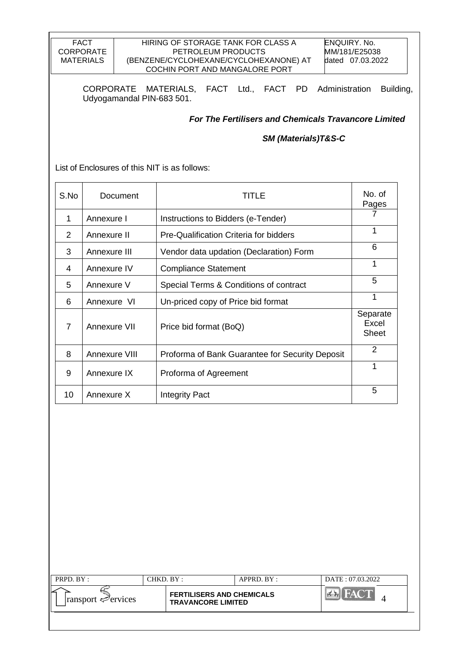#### HIRING OF STORAGE TANK FOR CLASS A PETROLEUM PRODUCTS (BENZENE/CYCLOHEXANE/CYCLOHEXANONE) AT COCHIN PORT AND MANGALORE PORT

CORPORATE MATERIALS, FACT Ltd., FACT PD Administration Building, Udyogamandal PIN-683 501.

*For The Fertilisers and Chemicals Travancore Limited*

### *SM (Materials)T&S-C*

List of Enclosures of this NIT is as follows:

| S.No | Document      | TITLE                                           | No. of<br>Pages                   |
|------|---------------|-------------------------------------------------|-----------------------------------|
| 1    | Annexure I    | Instructions to Bidders (e-Tender)              |                                   |
| 2    | Annexure II   | Pre-Qualification Criteria for bidders          | 1                                 |
| 3    | Annexure III  | Vendor data updation (Declaration) Form         | 6                                 |
| 4    | Annexure IV   | <b>Compliance Statement</b>                     | 1                                 |
| 5    | Annexure V    | Special Terms & Conditions of contract          | 5                                 |
| 6    | Annexure VI   | Un-priced copy of Price bid format              | 1                                 |
| 7    | Annexure VII  | Price bid format (BoQ)                          | Separate<br>Excel<br><b>Sheet</b> |
| 8    | Annexure VIII | Proforma of Bank Guarantee for Security Deposit | 2                                 |
| 9    | Annexure IX   | Proforma of Agreement                           | 1                                 |
| 10   | Annexure X    | <b>Integrity Pact</b>                           | 5                                 |

| PRPD. BY:                       | CHKD. BY :                                                    | $APPRD$ . BY : | DATE: 07.03.2022 |
|---------------------------------|---------------------------------------------------------------|----------------|------------------|
| $\lvert$ ransport $\ll$ ervices | <b>FERTILISERS AND CHEMICALS</b><br><b>TRAVANCORE LIMITED</b> |                |                  |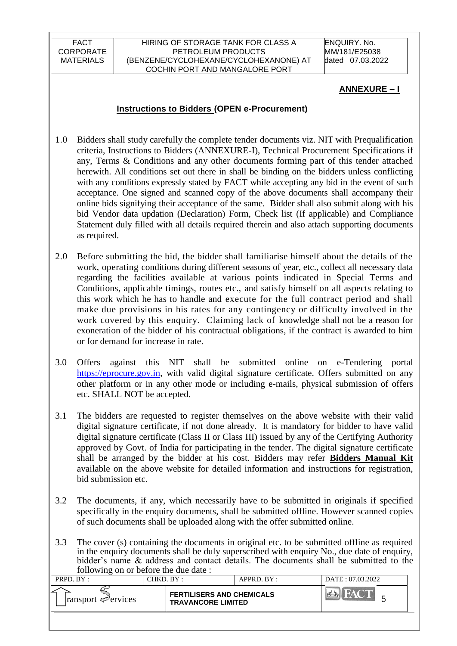#### HIRING OF STORAGE TANK FOR CLASS A PETROLEUM PRODUCTS (BENZENE/CYCLOHEXANE/CYCLOHEXANONE) AT COCHIN PORT AND MANGALORE PORT

ENQUIRY. No. MM/181/E25038 dated 07.03.2022

### **ANNEXURE – I**

## **Instructions to Bidders (OPEN e-Procurement)**

- 1.0 Bidders shall study carefully the complete tender documents viz. NIT with Prequalification criteria, Instructions to Bidders (ANNEXURE-I), Technical Procurement Specifications if any, Terms & Conditions and any other documents forming part of this tender attached herewith. All conditions set out there in shall be binding on the bidders unless conflicting with any conditions expressly stated by FACT while accepting any bid in the event of such acceptance. One signed and scanned copy of the above documents shall accompany their online bids signifying their acceptance of the same. Bidder shall also submit along with his bid Vendor data updation (Declaration) Form, Check list (If applicable) and Compliance Statement duly filled with all details required therein and also attach supporting documents as required.
- 2.0 Before submitting the bid, the bidder shall familiarise himself about the details of the work, operating conditions during different seasons of year, etc., collect all necessary data regarding the facilities available at various points indicated in Special Terms and Conditions, applicable timings, routes etc., and satisfy himself on all aspects relating to this work which he has to handle and execute for the full contract period and shall make due provisions in his rates for any contingency or difficulty involved in the work covered by this enquiry. Claiming lack of knowledge shall not be a reason for exoneration of the bidder of his contractual obligations, if the contract is awarded to him or for demand for increase in rate.
- 3.0 Offers against this NIT shall be submitted online on e-Tendering portal [https://eprocure.gov.in,](https://eprocure.gov.in/) with valid digital signature certificate. Offers submitted on any other platform or in any other mode or including e-mails, physical submission of offers etc. SHALL NOT be accepted.
- 3.1 The bidders are requested to register themselves on the above website with their valid digital signature certificate, if not done already. It is mandatory for bidder to have valid digital signature certificate (Class II or Class III) issued by any of the Certifying Authority approved by Govt. of India for participating in the tender. The digital signature certificate shall be arranged by the bidder at his cost. Bidders may refer **Bidders Manual Kit**  available on the above website for detailed information and instructions for registration, bid submission etc.
- 3.2 The documents, if any, which necessarily have to be submitted in originals if specified specifically in the enquiry documents, shall be submitted offline. However scanned copies of such documents shall be uploaded along with the offer submitted online.
- 3.3 The cover (s) containing the documents in original etc. to be submitted offline as required in the enquiry documents shall be duly superscribed with enquiry No., due date of enquiry, bidder"s name & address and contact details. The documents shall be submitted to the following on or before the due date :

| PRPD. BY:                       | CHKD. BY: |                                                               | APPRD. BY: | DATE: 07.03.2022 |
|---------------------------------|-----------|---------------------------------------------------------------|------------|------------------|
| $\lvert$ ransport $\ll$ ervices |           | <b>FERTILISERS AND CHEMICALS</b><br><b>TRAVANCORE LIMITED</b> |            |                  |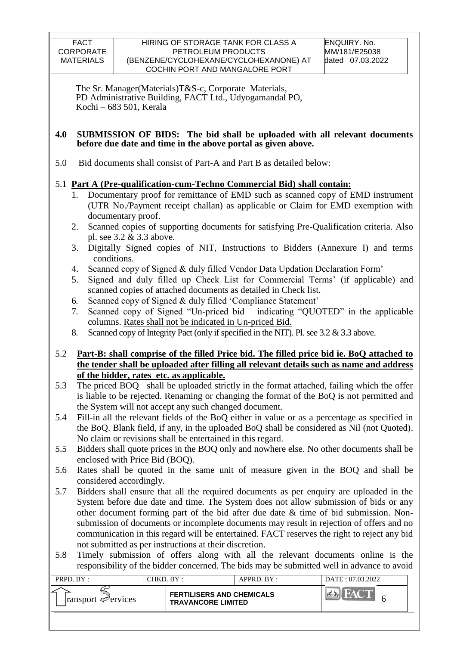The Sr. Manager(Materials)T&S-c, Corporate Materials, PD Administrative Building, FACT Ltd., Udyogamandal PO, Kochi – 683 501, Kerala

### **4.0 SUBMISSION OF BIDS: The bid shall be uploaded with all relevant documents before due date and time in the above portal as given above.**

5.0 Bid documents shall consist of Part-A and Part B as detailed below:

# 5.1 **Part A (Pre-qualification-cum-Techno Commercial Bid) shall contain:**

- 1. Documentary proof for remittance of EMD such as scanned copy of EMD instrument (UTR No./Payment receipt challan) as applicable or Claim for EMD exemption with documentary proof.
- 2. Scanned copies of supporting documents for satisfying Pre-Qualification criteria. Also pl. see 3.2 & 3.3 above.
- 3. Digitally Signed copies of NIT, Instructions to Bidders (Annexure I) and terms conditions.
- 4. Scanned copy of Signed & duly filled Vendor Data Updation Declaration Form"
- 5. Signed and duly filled up Check List for Commercial Terms" (if applicable) and scanned copies of attached documents as detailed in Check list.
- 6. Scanned copy of Signed & duly filled "Compliance Statement"
- 7. Scanned copy of Signed "Un-priced bid indicating "QUOTED" in the applicable columns. Rates shall not be indicated in Un-priced Bid.
- 8. Scanned copy of Integrity Pact (only if specified in the NIT). Pl. see 3.2 & 3.3 above.

## 5.2 **Part-B: shall comprise of the filled Price bid. The filled price bid ie. BoQ attached to the tender shall be uploaded after filling all relevant details such as name and address of the bidder, rates etc. as applicable.**

- 5.3 The priced BOQ shall be uploaded strictly in the format attached, failing which the offer is liable to be rejected. Renaming or changing the format of the BoQ is not permitted and the System will not accept any such changed document.
- 5.4 Fill-in all the relevant fields of the BoQ either in value or as a percentage as specified in the BoQ. Blank field, if any, in the uploaded BoQ shall be considered as Nil (not Quoted). No claim or revisions shall be entertained in this regard.
- 5.5 Bidders shall quote prices in the BOQ only and nowhere else. No other documents shall be enclosed with Price Bid (BOQ).
- 5.6 Rates shall be quoted in the same unit of measure given in the BOQ and shall be considered accordingly.
- 5.7 Bidders shall ensure that all the required documents as per enquiry are uploaded in the System before due date and time. The System does not allow submission of bids or any other document forming part of the bid after due date & time of bid submission. Nonsubmission of documents or incomplete documents may result in rejection of offers and no communication in this regard will be entertained. FACT reserves the right to reject any bid not submitted as per instructions at their discretion.
- 5.8 Timely submission of offers along with all the relevant documents online is the responsibility of the bidder concerned. The bids may be submitted well in advance to avoid

| PRPD. BY:                       | CHKD. BY:                                                     | $APPRD$ $BY:$ | DATE: 07.03.2022 |
|---------------------------------|---------------------------------------------------------------|---------------|------------------|
| $\lvert$ ransport $\ll$ ervices | <b>FERTILISERS AND CHEMICALS</b><br><b>TRAVANCORE LIMITED</b> |               |                  |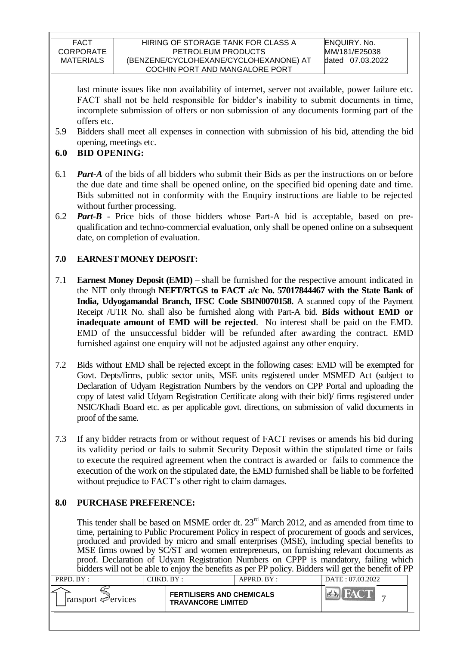#### HIRING OF STORAGE TANK FOR CLASS A PETROLEUM PRODUCTS (BENZENE/CYCLOHEXANE/CYCLOHEXANONE) AT COCHIN PORT AND MANGALORE PORT

last minute issues like non availability of internet, server not available, power failure etc. FACT shall not be held responsible for bidder"s inability to submit documents in time, incomplete submission of offers or non submission of any documents forming part of the offers etc.

- 5.9 Bidders shall meet all expenses in connection with submission of his bid, attending the bid opening, meetings etc.
- **6.0 BID OPENING:**
- 6.1 *Part-A* of the bids of all bidders who submit their Bids as per the instructions on or before the due date and time shall be opened online, on the specified bid opening date and time. Bids submitted not in conformity with the Enquiry instructions are liable to be rejected without further processing.
- 6.2 *Part-B* Price bids of those bidders whose Part-A bid is acceptable, based on prequalification and techno-commercial evaluation, only shall be opened online on a subsequent date, on completion of evaluation.

# **7.0 EARNEST MONEY DEPOSIT:**

- 7.1 **Earnest Money Deposit (EMD)** shall be furnished for the respective amount indicated in the NIT only through **NEFT/RTGS to FACT a/c No. 57017844467 with the State Bank of India, Udyogamandal Branch, IFSC Code SBIN0070158.** A scanned copy of the Payment Receipt /UTR No. shall also be furnished along with Part-A bid. **Bids without EMD or inadequate amount of EMD will be rejected**. No interest shall be paid on the EMD. EMD of the unsuccessful bidder will be refunded after awarding the contract. EMD furnished against one enquiry will not be adjusted against any other enquiry.
- 7.2 Bids without EMD shall be rejected except in the following cases: EMD will be exempted for Govt. Depts/firms, public sector units, MSE units registered under MSMED Act (subject to Declaration of Udyam Registration Numbers by the vendors on CPP Portal and uploading the copy of latest valid Udyam Registration Certificate along with their bid)/ firms registered under NSIC/Khadi Board etc. as per applicable govt. directions, on submission of valid documents in proof of the same.
- 7.3 If any bidder retracts from or without request of FACT revises or amends his bid during its validity period or fails to submit Security Deposit within the stipulated time or fails to execute the required agreement when the contract is awarded or fails to commence the execution of the work on the stipulated date, the EMD furnished shall be liable to be forfeited without prejudice to FACT's other right to claim damages.

## **8.0 PURCHASE PREFERENCE:**

This tender shall be based on MSME order dt.  $23<sup>rd</sup>$  March 2012, and as amended from time to time, pertaining to Public Procurement Policy in respect of procurement of goods and services, produced and provided by micro and small enterprises (MSE), including special benefits to MSE firms owned by SC/ST and women entrepreneurs, on furnishing relevant documents as proof. Declaration of Udyam Registration Numbers on CPPP is mandatory, failing which bidders will not be able to enjoy the benefits as per PP policy. Bidders will get the benefit of PP

| PRPD. $BY:$                     | $CHKD$ $\rm{BY}$ :                                            | $APPRD$ $BY:$ | DATE: 07.03.2022 |
|---------------------------------|---------------------------------------------------------------|---------------|------------------|
| $\lvert$ ransport $\ll$ ervices | <b>FERTILISERS AND CHEMICALS</b><br><b>TRAVANCORE LIMITED</b> |               | 画全               |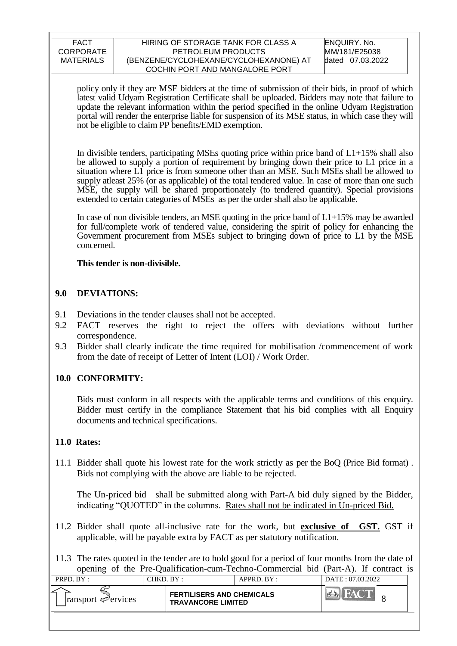#### HIRING OF STORAGE TANK FOR CLASS A PETROLEUM PRODUCTS (BENZENE/CYCLOHEXANE/CYCLOHEXANONE) AT COCHIN PORT AND MANGALORE PORT

ENQUIRY. No. MM/181/E25038 dated 07.03.2022

policy only if they are MSE bidders at the time of submission of their bids, in proof of which latest valid Udyam Registration Certificate shall be uploaded. Bidders may note that failure to update the relevant information within the period specified in the online Udyam Registration portal will render the enterprise liable for suspension of its MSE status, in which case they will not be eligible to claim PP benefits/EMD exemption.

In divisible tenders, participating MSEs quoting price within price band of  $L1+15\%$  shall also be allowed to supply a portion of requirement by bringing down their price to L1 price in a situation where L1 price is from someone other than an MSE. Such MSEs shall be allowed to supply at least 25% (or as applicable) of the total tendered value. In case of more than one such MSE, the supply will be shared proportionately (to tendered quantity). Special provisions extended to certain categories of MSEs as per the order shall also be applicable.

In case of non divisible tenders, an MSE quoting in the price band of  $L1+15\%$  may be awarded for full/complete work of tendered value, considering the spirit of policy for enhancing the Government procurement from MSEs subject to bringing down of price to L1 by the MSE concerned.

## **This tender is non-divisible.**

## **9.0 DEVIATIONS:**

- 9.1 Deviations in the tender clauses shall not be accepted.
- 9.2 FACT reserves the right to reject the offers with deviations without further correspondence.
- 9.3 Bidder shall clearly indicate the time required for mobilisation /commencement of work from the date of receipt of Letter of Intent (LOI) / Work Order.

## **10.0 CONFORMITY:**

Bids must conform in all respects with the applicable terms and conditions of this enquiry. Bidder must certify in the compliance Statement that his bid complies with all Enquiry documents and technical specifications.

## **11.0 Rates:**

11.1 Bidder shall quote his lowest rate for the work strictly as per the BoQ (Price Bid format) . Bids not complying with the above are liable to be rejected.

The Un-priced bid shall be submitted along with Part-A bid duly signed by the Bidder, indicating "QUOTED" in the columns. Rates shall not be indicated in Un-priced Bid.

11.2 Bidder shall quote all-inclusive rate for the work, but **exclusive of GST.** GST if applicable, will be payable extra by FACT as per statutory notification.

11.3 The rates quoted in the tender are to hold good for a period of four months from the date of opening of the Pre-Qualification-cum-Techno-Commercial bid (Part-A). If contract is

| PRPD. BY:                       | CHKD. BY: |                                                               | APPRD. BY: | DATE: 07.03.2022 |  |
|---------------------------------|-----------|---------------------------------------------------------------|------------|------------------|--|
| $\lvert$ ransport $\ll$ ervices |           | <b>FERTILISERS AND CHEMICALS</b><br><b>TRAVANCORE LIMITED</b> |            |                  |  |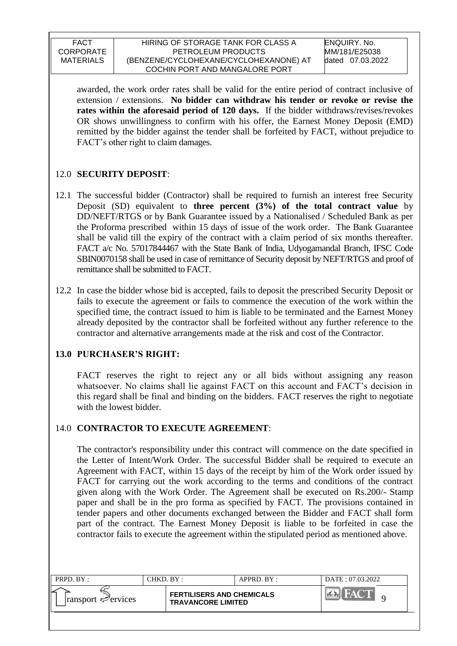awarded, the work order rates shall be valid for the entire period of contract inclusive of extension / extensions. **No bidder can withdraw his tender or revoke or revise the rates within the aforesaid period of 120 days.** If the bidder withdraws/revises/revokes OR shows unwillingness to confirm with his offer, the Earnest Money Deposit (EMD) remitted by the bidder against the tender shall be forfeited by FACT, without prejudice to FACT"s other right to claim damages.

# 12.0 **SECURITY DEPOSIT**:

- 12.1 The successful bidder (Contractor) shall be required to furnish an interest free Security Deposit (SD) equivalent to **three percent (3%) of the total contract value** by DD/NEFT/RTGS or by Bank Guarantee issued by a Nationalised / Scheduled Bank as per the Proforma prescribed within 15 days of issue of the work order. The Bank Guarantee shall be valid till the expiry of the contract with a claim period of six months thereafter. FACT a/c No. 57017844467 with the State Bank of India, Udyogamandal Branch, IFSC Code SBIN0070158 shall be used in case of remittance of Security deposit by NEFT/RTGS and proof of remittance shall be submitted to FACT.
- 12.2 In case the bidder whose bid is accepted, fails to deposit the prescribed Security Deposit or fails to execute the agreement or fails to commence the execution of the work within the specified time, the contract issued to him is liable to be terminated and the Earnest Money already deposited by the contractor shall be forfeited without any further reference to the contractor and alternative arrangements made at the risk and cost of the Contractor.

# **13.0 PURCHASER'S RIGHT:**

FACT reserves the right to reject any or all bids without assigning any reason whatsoever. No claims shall lie against FACT on this account and FACT's decision in this regard shall be final and binding on the bidders. FACT reserves the right to negotiate with the lowest bidder.

# 14.0 **CONTRACTOR TO EXECUTE AGREEMENT**:

The contractor's responsibility under this contract will commence on the date specified in the Letter of Intent/Work Order. The successful Bidder shall be required to execute an Agreement with FACT, within 15 days of the receipt by him of the Work order issued by FACT for carrying out the work according to the terms and conditions of the contract given along with the Work Order. The Agreement shall be executed on Rs.200/- Stamp paper and shall be in the pro forma as specified by FACT. The provisions contained in tender papers and other documents exchanged between the Bidder and FACT shall form part of the contract. The Earnest Money Deposit is liable to be forfeited in case the contractor fails to execute the agreement within the stipulated period as mentioned above.

| <b>PRPD.</b> $BY:$              | $CHKD$ $BY$ :                                                 | $APPRD$ $BY$ : | DATE: 07.03.2022 |
|---------------------------------|---------------------------------------------------------------|----------------|------------------|
| $\lvert$ ransport $\ll$ ervices | <b>FERTILISERS AND CHEMICALS</b><br><b>TRAVANCORE LIMITED</b> |                | $M_A$            |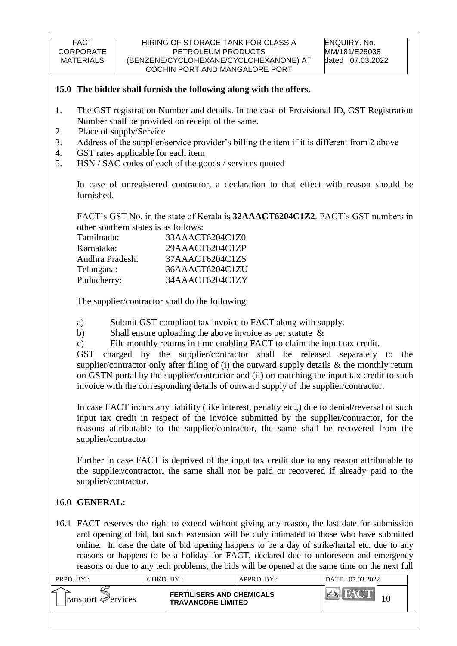### **15.0 The bidder shall furnish the following along with the offers.**

- 1. The GST registration Number and details. In the case of Provisional ID, GST Registration Number shall be provided on receipt of the same.
- 2. Place of supply/Service
- 3. Address of the supplier/service provider"s billing the item if it is different from 2 above
- 4. GST rates applicable for each item
- 5. HSN / SAC codes of each of the goods / services quoted

In case of unregistered contractor, a declaration to that effect with reason should be furnished.

FACT"s GST No. in the state of Kerala is **32AAACT6204C1Z2**. FACT"s GST numbers in other southern states is as follows:

| Tamilnadu:      | 33AAACT6204C1Z0 |
|-----------------|-----------------|
| Karnataka:      | 29AAACT6204C1ZP |
| Andhra Pradesh: | 37AAACT6204C1ZS |
| Telangana:      | 36AAACT6204C1ZU |
| Puducherry:     | 34AAACT6204C1ZY |

The supplier/contractor shall do the following:

- a) Submit GST compliant tax invoice to FACT along with supply.
- b) Shall ensure uploading the above invoice as per statute &
- c) File monthly returns in time enabling FACT to claim the input tax credit.

GST charged by the supplier/contractor shall be released separately to the supplier/contractor only after filing of (i) the outward supply details & the monthly return on GSTN portal by the supplier/contractor and (ii) on matching the input tax credit to such invoice with the corresponding details of outward supply of the supplier/contractor.

In case FACT incurs any liability (like interest, penalty etc.,) due to denial/reversal of such input tax credit in respect of the invoice submitted by the supplier/contractor, for the reasons attributable to the supplier/contractor, the same shall be recovered from the supplier/contractor

Further in case FACT is deprived of the input tax credit due to any reason attributable to the supplier/contractor, the same shall not be paid or recovered if already paid to the supplier/contractor.

## 16.0 **GENERAL:**

16.1 FACT reserves the right to extend without giving any reason, the last date for submission and opening of bid, but such extension will be duly intimated to those who have submitted online. In case the date of bid opening happens to be a day of strike/hartal etc. due to any reasons or happens to be a holiday for FACT, declared due to unforeseen and emergency reasons or due to any tech problems, the bids will be opened at the same time on the next full

| PRPD. BY:                       | CHKD. BY: |                                                               | $APPRD$ $BY$ : | DATE: 07.03.2022 |
|---------------------------------|-----------|---------------------------------------------------------------|----------------|------------------|
| $\lvert$ ransport $\ll$ ervices |           | <b>FERTILISERS AND CHEMICALS</b><br><b>TRAVANCORE LIMITED</b> |                |                  |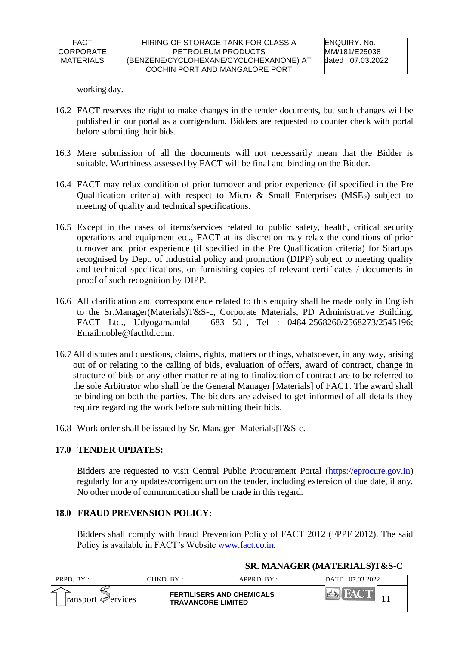working day.

- 16.2 FACT reserves the right to make changes in the tender documents, but such changes will be published in our portal as a corrigendum. Bidders are requested to counter check with portal before submitting their bids.
- 16.3 Mere submission of all the documents will not necessarily mean that the Bidder is suitable. Worthiness assessed by FACT will be final and binding on the Bidder.
- 16.4 FACT may relax condition of prior turnover and prior experience (if specified in the Pre Qualification criteria) with respect to Micro & Small Enterprises (MSEs) subject to meeting of quality and technical specifications.
- 16.5 Except in the cases of items/services related to public safety, health, critical security operations and equipment etc., FACT at its discretion may relax the conditions of prior turnover and prior experience (if specified in the Pre Qualification criteria) for Startups recognised by Dept. of Industrial policy and promotion (DIPP) subject to meeting quality and technical specifications, on furnishing copies of relevant certificates / documents in proof of such recognition by DIPP.
- 16.6 All clarification and correspondence related to this enquiry shall be made only in English to the Sr.Manager(Materials)T&S-c, Corporate Materials, PD Administrative Building, FACT Ltd., Udyogamandal – 683 501, Tel : 0484-2568260/2568273/2545196; Email:noble@factltd.com.
- 16.7 All disputes and questions, claims, rights, matters or things, whatsoever, in any way, arising out of or relating to the calling of bids, evaluation of offers, award of contract, change in structure of bids or any other matter relating to finalization of contract are to be referred to the sole Arbitrator who shall be the General Manager [Materials] of FACT. The award shall be binding on both the parties. The bidders are advised to get informed of all details they require regarding the work before submitting their bids.
- 16.8 Work order shall be issued by Sr. Manager [Materials]T&S-c.

## **17.0 TENDER UPDATES:**

Bidders are requested to visit Central Public Procurement Portal [\(https://eprocure.gov.in\)](https://eprocure.gov.in/) regularly for any updates/corrigendum on the tender, including extension of due date, if any. No other mode of communication shall be made in this regard.

## **18.0 FRAUD PREVENSION POLICY:**

Bidders shall comply with Fraud Prevention Policy of FACT 2012 (FPPF 2012). The said Policy is available in FACT"s Website [www.fact.co.in.](http://www.fact.co.in/)

## **SR. MANAGER (MATERIALS)T&S-C**

| PRPD. BY:                               | CHKD. BY:                                                     | APPRD. BY: | DATE: 07.03.2022 |
|-----------------------------------------|---------------------------------------------------------------|------------|------------------|
| $\lvert$ ransport $\mathcal{P}$ ervices | <b>FERTILISERS AND CHEMICALS</b><br><b>TRAVANCORE LIMITED</b> |            |                  |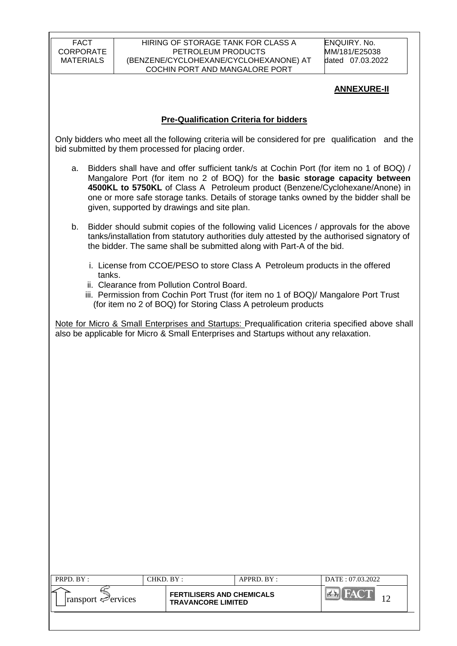#### HIRING OF STORAGE TANK FOR CLASS A PETROLEUM PRODUCTS (BENZENE/CYCLOHEXANE/CYCLOHEXANONE) AT COCHIN PORT AND MANGALORE PORT

ENQUIRY. No. MM/181/E25038 dated 07.03.2022

## **ANNEXURE-II**

## **Pre-Qualification Criteria for bidders**

Only bidders who meet all the following criteria will be considered for pre qualification and the bid submitted by them processed for placing order.

- a. Bidders shall have and offer sufficient tank/s at Cochin Port (for item no 1 of BOQ) / Mangalore Port (for item no 2 of BOQ) for the **basic storage capacity between 4500KL to 5750KL** of Class A Petroleum product (Benzene/Cyclohexane/Anone) in one or more safe storage tanks. Details of storage tanks owned by the bidder shall be given, supported by drawings and site plan.
- b. Bidder should submit copies of the following valid Licences / approvals for the above tanks/installation from statutory authorities duly attested by the authorised signatory of the bidder. The same shall be submitted along with Part-A of the bid.
	- i. License from CCOE/PESO to store Class A Petroleum products in the offered tanks.
	- ii. Clearance from Pollution Control Board.
	- iii. Permission from Cochin Port Trust (for item no 1 of BOQ)/ Mangalore Port Trust (for item no 2 of BOQ) for Storing Class A petroleum products

|  |  |  |  | Note for Micro & Small Enterprises and Startups: Prequalification criteria specified above shall |  |  |  |
|--|--|--|--|--------------------------------------------------------------------------------------------------|--|--|--|
|  |  |  |  | also be applicable for Micro & Small Enterprises and Startups without any relaxation.            |  |  |  |

| PRPD. BY:                       | CHKD. BY :                                                    | $APPRD$ . $BY$ : | DATE: 07.03.2022 |  |  |
|---------------------------------|---------------------------------------------------------------|------------------|------------------|--|--|
| $\lvert$ ransport $\ll$ ervices | <b>FERTILISERS AND CHEMICALS</b><br><b>TRAVANCORE LIMITED</b> |                  | <b>NAT</b>       |  |  |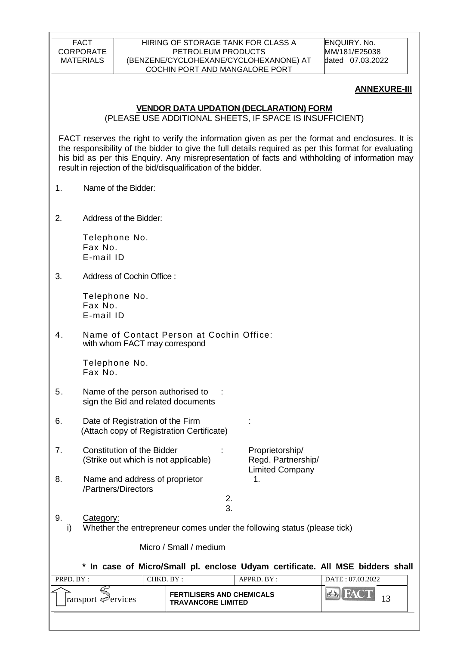#### HIRING OF STORAGE TANK FOR CLASS A PETROLEUM PRODUCTS (BENZENE/CYCLOHEXANE/CYCLOHEXANONE) AT COCHIN PORT AND MANGALORE PORT

ENQUIRY. No. MM/181/E25038 dated 07.03.2022

#### **ANNEXURE-III**

### **VENDOR DATA UPDATION (DECLARATION) FORM**

(PLEASE USE ADDITIONAL SHEETS, IF SPACE IS INSUFFICIENT)

FACT reserves the right to verify the information given as per the format and enclosures. It is the responsibility of the bidder to give the full details required as per this format for evaluating his bid as per this Enquiry. Any misrepresentation of facts and withholding of information may result in rejection of the bid/disqualification of the bidder.

- 1. Name of the Bidder:
- 2. Address of the Bidder:

Telephone No. Fax No. E-mail ID

3. Address of Cochin Office :

Telephone No. Fax No. E-mail ID

4. Name of Contact Person at Cochin Office: with whom FACT may correspond

> Telephone No. Fax No.

- 5. Name of the person authorised to : sign the Bid and related documents
- 6. Date of Registration of the Firm : (Attach copy of Registration Certificate)
- 7. Constitution of the Bidder : Proprietorship/ (Strike out which is not applicable) Regd. Partnership/ Limited Company 8. Name and address of proprietor 1. /Partners/Directors 2.

3.

9. Category: i) Whether the entrepreneur comes under the following status (please tick)

Micro / Small / medium

**\* In case of Micro/Small pl. enclose Udyam certificate. All MSE bidders shall** 

| PRPD. BY:                       | CHKD. BY:                                                     | $APPRD$ . $BY$ : | DATE: 07.03.2022 |  |  |
|---------------------------------|---------------------------------------------------------------|------------------|------------------|--|--|
| $\lvert$ ransport $\ll$ ervices | <b>FERTILISERS AND CHEMICALS</b><br><b>TRAVANCORE LIMITED</b> |                  |                  |  |  |
|                                 |                                                               |                  |                  |  |  |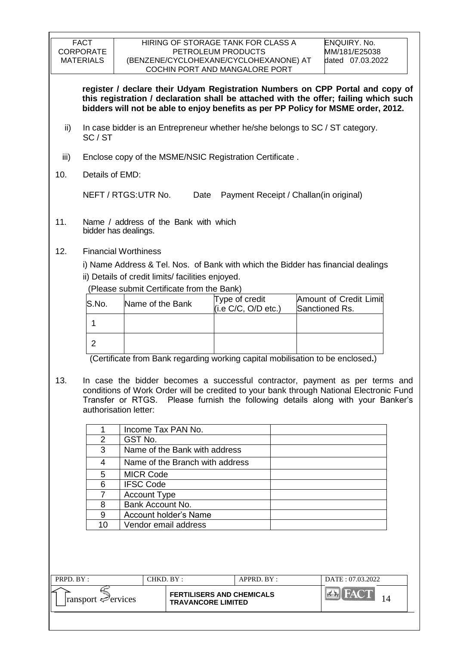|           | <b>FACT</b><br><b>CORPORATE</b><br><b>MATERIALS</b>                                    |                                                               |                                                      | HIRING OF STORAGE TANK FOR CLASS A<br>PETROLEUM PRODUCTS<br>(BENZENE/CYCLOHEXANE/CYCLOHEXANONE) AT                                                                                                                                                         |  | <b>ENQUIRY. No.</b>                      | MM/181/E25038<br>dated 07.03.2022 |  |  |
|-----------|----------------------------------------------------------------------------------------|---------------------------------------------------------------|------------------------------------------------------|------------------------------------------------------------------------------------------------------------------------------------------------------------------------------------------------------------------------------------------------------------|--|------------------------------------------|-----------------------------------|--|--|
|           |                                                                                        |                                                               |                                                      | COCHIN PORT AND MANGALORE PORT                                                                                                                                                                                                                             |  |                                          |                                   |  |  |
|           |                                                                                        |                                                               |                                                      | register / declare their Udyam Registration Numbers on CPP Portal and copy of<br>this registration / declaration shall be attached with the offer; failing which such<br>bidders will not be able to enjoy benefits as per PP Policy for MSME order, 2012. |  |                                          |                                   |  |  |
| ii)       | In case bidder is an Entrepreneur whether he/she belongs to SC / ST category.<br>SC/ST |                                                               |                                                      |                                                                                                                                                                                                                                                            |  |                                          |                                   |  |  |
| iii)      |                                                                                        |                                                               |                                                      | Enclose copy of the MSME/NSIC Registration Certificate.                                                                                                                                                                                                    |  |                                          |                                   |  |  |
| 10.       | Details of EMD:                                                                        |                                                               |                                                      |                                                                                                                                                                                                                                                            |  |                                          |                                   |  |  |
|           |                                                                                        | NEFT / RTGS: UTR No.                                          | Date                                                 |                                                                                                                                                                                                                                                            |  | Payment Receipt / Challan(in original)   |                                   |  |  |
| 11.       |                                                                                        | Name / address of the Bank with which<br>bidder has dealings. |                                                      |                                                                                                                                                                                                                                                            |  |                                          |                                   |  |  |
| 12.       |                                                                                        | <b>Financial Worthiness</b>                                   |                                                      |                                                                                                                                                                                                                                                            |  |                                          |                                   |  |  |
|           |                                                                                        |                                                               |                                                      | i) Name Address & Tel. Nos. of Bank with which the Bidder has financial dealings                                                                                                                                                                           |  |                                          |                                   |  |  |
|           |                                                                                        | ii) Details of credit limits/facilities enjoyed.              |                                                      |                                                                                                                                                                                                                                                            |  |                                          |                                   |  |  |
|           |                                                                                        |                                                               |                                                      | (Please submit Certificate from the Bank)                                                                                                                                                                                                                  |  |                                          |                                   |  |  |
|           | lS.No.                                                                                 | Name of the Bank                                              |                                                      | Type of credit<br>(i.e C/C, O/D etc.)                                                                                                                                                                                                                      |  | Amount of Credit Limit<br>Sanctioned Rs. |                                   |  |  |
|           | $\mathbf{1}$                                                                           |                                                               |                                                      |                                                                                                                                                                                                                                                            |  |                                          |                                   |  |  |
|           | $\overline{2}$                                                                         |                                                               |                                                      |                                                                                                                                                                                                                                                            |  |                                          |                                   |  |  |
|           |                                                                                        |                                                               |                                                      | (Certificate from Bank regarding working capital mobilisation to be enclosed.)                                                                                                                                                                             |  |                                          |                                   |  |  |
|           |                                                                                        |                                                               |                                                      |                                                                                                                                                                                                                                                            |  |                                          |                                   |  |  |
| 13.       |                                                                                        |                                                               |                                                      | In case the bidder becomes a successful contractor, payment as per terms and                                                                                                                                                                               |  |                                          |                                   |  |  |
|           |                                                                                        |                                                               |                                                      | conditions of Work Order will be credited to your bank through National Electronic Fund<br>Transfer or RTGS. Please furnish the following details along with your Banker's                                                                                 |  |                                          |                                   |  |  |
|           |                                                                                        | authorisation letter:                                         |                                                      |                                                                                                                                                                                                                                                            |  |                                          |                                   |  |  |
|           | 1                                                                                      | Income Tax PAN No.                                            |                                                      |                                                                                                                                                                                                                                                            |  |                                          |                                   |  |  |
|           | $\overline{2}$                                                                         | GST No.                                                       |                                                      |                                                                                                                                                                                                                                                            |  |                                          |                                   |  |  |
|           | 3                                                                                      |                                                               | Name of the Bank with address                        |                                                                                                                                                                                                                                                            |  |                                          |                                   |  |  |
|           | 4                                                                                      |                                                               | Name of the Branch with address                      |                                                                                                                                                                                                                                                            |  |                                          |                                   |  |  |
|           | 5                                                                                      | <b>MICR Code</b>                                              |                                                      |                                                                                                                                                                                                                                                            |  |                                          |                                   |  |  |
|           | 6                                                                                      | <b>IFSC Code</b>                                              |                                                      |                                                                                                                                                                                                                                                            |  |                                          |                                   |  |  |
|           | $\overline{7}$                                                                         | <b>Account Type</b>                                           |                                                      |                                                                                                                                                                                                                                                            |  |                                          |                                   |  |  |
|           | 8                                                                                      | Bank Account No.                                              |                                                      |                                                                                                                                                                                                                                                            |  |                                          |                                   |  |  |
|           | 9<br>10                                                                                |                                                               | <b>Account holder's Name</b><br>Vendor email address |                                                                                                                                                                                                                                                            |  |                                          |                                   |  |  |
|           |                                                                                        |                                                               |                                                      |                                                                                                                                                                                                                                                            |  |                                          |                                   |  |  |
|           |                                                                                        |                                                               |                                                      |                                                                                                                                                                                                                                                            |  |                                          |                                   |  |  |
|           |                                                                                        |                                                               |                                                      |                                                                                                                                                                                                                                                            |  |                                          |                                   |  |  |
|           |                                                                                        |                                                               |                                                      |                                                                                                                                                                                                                                                            |  |                                          |                                   |  |  |
| PRPD. BY: |                                                                                        | CHKD. BY:                                                     |                                                      | APPRD. BY:                                                                                                                                                                                                                                                 |  |                                          | DATE: 07.03.2022                  |  |  |
|           | ransport ⇔ervices                                                                      |                                                               | <b>TRAVANCORE LIMITED</b>                            | <b>FERTILISERS AND CHEMICALS</b>                                                                                                                                                                                                                           |  | <b>EX FACT</b>                           | 14                                |  |  |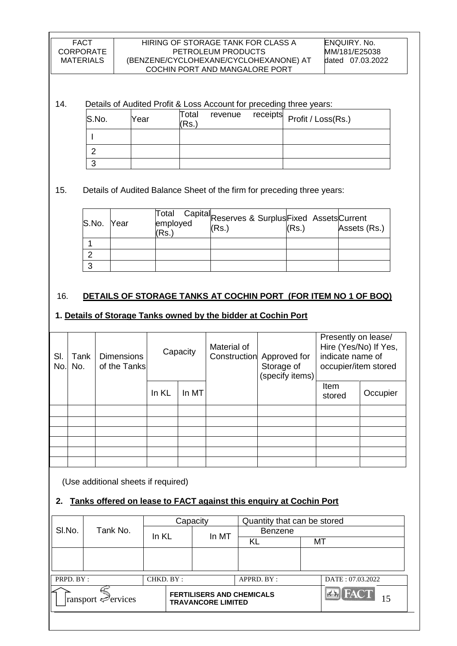#### HIRING OF STORAGE TANK FOR CLASS A PETROLEUM PRODUCTS (BENZENE/CYCLOHEXANE/CYCLOHEXANONE) AT COCHIN PORT AND MANGALORE PORT

### 14. Details of Audited Profit & Loss Account for preceding three years:

| S.No. | Year | Total<br>Rs. |  | revenue receipts Profit / Loss(Rs.) |
|-------|------|--------------|--|-------------------------------------|
|       |      |              |  |                                     |
|       |      |              |  |                                     |
|       |      |              |  |                                     |

## 15. Details of Audited Balance Sheet of the firm for preceding three years:

| S.No. Year | (Rs.) | Total Capital<br>employed (Beserves & Surplus Fixed Assets Current<br>(Rs.) | (Rs.) | Assets (Rs.) |
|------------|-------|-----------------------------------------------------------------------------|-------|--------------|
|            |       |                                                                             |       |              |
|            |       |                                                                             |       |              |
|            |       |                                                                             |       |              |

### 16. **DETAILS OF STORAGE TANKS AT COCHIN PORT (FOR ITEM NO 1 OF BOQ)**

### **1. Details of Storage Tanks owned by the bidder at Cochin Port**

| SI.<br>No. | Tank<br>No. | <b>Dimensions</b><br>of the Tanks | Capacity |       | Material of<br>Construction | Approved for<br>Storage of<br>(specify items) | Presently on lease/<br>Hire (Yes/No) If Yes,<br>indicate name of<br>occupier/item stored |          |
|------------|-------------|-----------------------------------|----------|-------|-----------------------------|-----------------------------------------------|------------------------------------------------------------------------------------------|----------|
|            |             |                                   | In KL    | In MT |                             |                                               | Item<br>stored                                                                           | Occupier |
|            |             |                                   |          |       |                             |                                               |                                                                                          |          |
|            |             |                                   |          |       |                             |                                               |                                                                                          |          |
|            |             |                                   |          |       |                             |                                               |                                                                                          |          |
|            |             |                                   |          |       |                             |                                               |                                                                                          |          |
|            |             |                                   |          |       |                             |                                               |                                                                                          |          |
|            |             |                                   |          |       |                             |                                               |                                                                                          |          |

(Use additional sheets if required)

# **2. Tanks offered on lease to FACT against this enquiry at Cochin Port**

|           |                   |           | Capacity                                                      | Quantity that can be stored |    |                      |
|-----------|-------------------|-----------|---------------------------------------------------------------|-----------------------------|----|----------------------|
| SI.No.    | Tank No.          | In KL     | In MT                                                         | <b>Benzene</b>              |    |                      |
|           |                   |           |                                                               | KL                          | MT |                      |
|           |                   |           |                                                               |                             |    |                      |
|           |                   |           |                                                               |                             |    |                      |
| PRPD. BY: |                   | CHKD. BY: |                                                               | APPRD. BY:                  |    | DATE: 07.03.2022     |
|           | ransport ⇔ervices |           | <b>FERTILISERS AND CHEMICALS</b><br><b>TRAVANCORE LIMITED</b> |                             |    | <b>Ex</b> FACT<br>15 |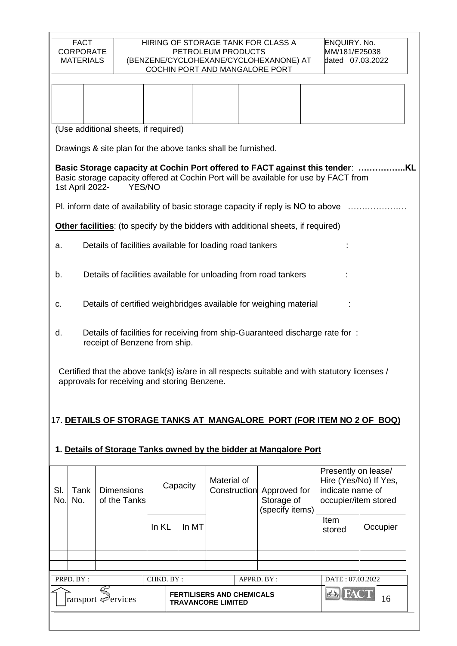|            |                 | (Use additional sheets, if required)                                                                                                                                                |          |       |             |                                                            |                |                                                                                          |  |
|------------|-----------------|-------------------------------------------------------------------------------------------------------------------------------------------------------------------------------------|----------|-------|-------------|------------------------------------------------------------|----------------|------------------------------------------------------------------------------------------|--|
|            |                 | Drawings & site plan for the above tanks shall be furnished.                                                                                                                        |          |       |             |                                                            |                |                                                                                          |  |
|            | 1st April 2022- | Basic Storage capacity at Cochin Port offered to FACT against this tender:<br>Basic storage capacity offered at Cochin Port will be available for use by FACT from<br><b>YES/NO</b> |          |       |             |                                                            |                |                                                                                          |  |
|            |                 | Pl. inform date of availability of basic storage capacity if reply is NO to above                                                                                                   |          |       |             |                                                            |                |                                                                                          |  |
|            |                 | Other facilities: (to specify by the bidders with additional sheets, if required)                                                                                                   |          |       |             |                                                            |                |                                                                                          |  |
| a.         |                 | Details of facilities available for loading road tankers                                                                                                                            |          |       |             |                                                            |                |                                                                                          |  |
| b.         |                 | Details of facilities available for unloading from road tankers                                                                                                                     |          |       |             |                                                            |                |                                                                                          |  |
| C.         |                 | Details of certified weighbridges available for weighing material                                                                                                                   |          |       |             |                                                            |                |                                                                                          |  |
| d.         |                 | Details of facilities for receiving from ship-Guaranteed discharge rate for:<br>receipt of Benzene from ship.                                                                       |          |       |             |                                                            |                |                                                                                          |  |
|            |                 | Certified that the above tank(s) is/are in all respects suitable and with statutory licenses /<br>approvals for receiving and storing Benzene.                                      |          |       |             |                                                            |                |                                                                                          |  |
|            |                 | 17. <u>DETAILS OF STORAGE TANKS AT_MANGALORE_PORT (FOR ITEM NO 2 OF </u>                                                                                                            |          |       |             |                                                            |                | <u>BOQ)</u>                                                                              |  |
|            |                 | 1. Details of Storage Tanks owned by the bidder at Mangalore Port                                                                                                                   |          |       |             |                                                            |                |                                                                                          |  |
| SI.<br>No. | Tank<br>No.     | <b>Dimensions</b><br>of the Tanks                                                                                                                                                   | Capacity |       | Material of | Construction Approved for<br>Storage of<br>(specify items) |                | Presently on lease/<br>Hire (Yes/No) If Yes,<br>indicate name of<br>occupier/item stored |  |
|            |                 |                                                                                                                                                                                     | In KL    | In MT |             |                                                            | Item<br>stored | Occupier                                                                                 |  |
|            |                 |                                                                                                                                                                                     |          |       |             |                                                            |                |                                                                                          |  |
|            |                 |                                                                                                                                                                                     |          |       |             |                                                            |                |                                                                                          |  |
|            |                 |                                                                                                                                                                                     |          |       |             |                                                            |                |                                                                                          |  |

| PRPD. BY:                               | CHKD. BY: | APPRD. BY:                                                    | DATE: 07.03.2022 |
|-----------------------------------------|-----------|---------------------------------------------------------------|------------------|
| $\lvert$ ransport $\mathcal{P}$ ervices |           | <b>FERTILISERS AND CHEMICALS</b><br><b>TRAVANCORE LIMITED</b> |                  |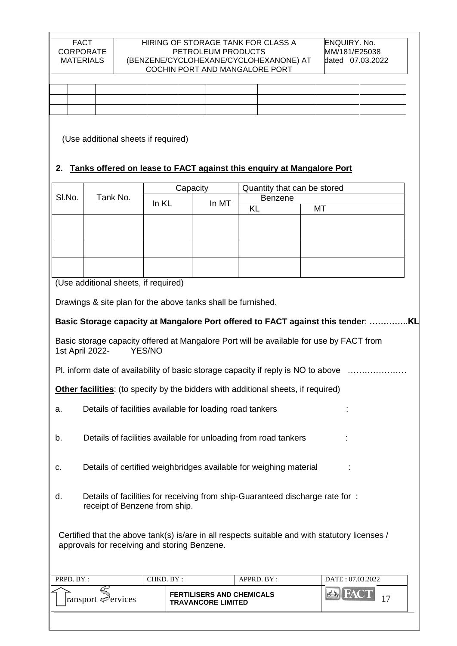|  | the contract of the contract of the contract of the contract of the contract of |  | $\overline{\phantom{a}}$ |  |  |
|--|---------------------------------------------------------------------------------|--|--------------------------|--|--|
|  |                                                                                 |  |                          |  |  |

(Use additional sheets if required)

# **2. Tanks offered on lease to FACT against this enquiry at Mangalore Port**

|                                                                                                                      |                                                                                                                                                |           | Capacity                                                      | Quantity that can be stored |                              |  |  |  |
|----------------------------------------------------------------------------------------------------------------------|------------------------------------------------------------------------------------------------------------------------------------------------|-----------|---------------------------------------------------------------|-----------------------------|------------------------------|--|--|--|
| SI.No.                                                                                                               | Tank No.                                                                                                                                       | In KL     | In MT                                                         | <b>Benzene</b>              |                              |  |  |  |
|                                                                                                                      |                                                                                                                                                |           |                                                               | <b>KL</b>                   | MT                           |  |  |  |
|                                                                                                                      |                                                                                                                                                |           |                                                               |                             |                              |  |  |  |
|                                                                                                                      |                                                                                                                                                |           |                                                               |                             |                              |  |  |  |
|                                                                                                                      |                                                                                                                                                |           |                                                               |                             |                              |  |  |  |
|                                                                                                                      |                                                                                                                                                |           |                                                               |                             |                              |  |  |  |
|                                                                                                                      | (Use additional sheets, if required)                                                                                                           |           |                                                               |                             |                              |  |  |  |
|                                                                                                                      | Drawings & site plan for the above tanks shall be furnished.                                                                                   |           |                                                               |                             |                              |  |  |  |
|                                                                                                                      |                                                                                                                                                |           |                                                               |                             |                              |  |  |  |
|                                                                                                                      | Basic Storage capacity at Mangalore Port offered to FACT against this tender: KL                                                               |           |                                                               |                             |                              |  |  |  |
| Basic storage capacity offered at Mangalore Port will be available for use by FACT from<br>1st April 2022-<br>YES/NO |                                                                                                                                                |           |                                                               |                             |                              |  |  |  |
| PI. inform date of availability of basic storage capacity if reply is NO to above                                    |                                                                                                                                                |           |                                                               |                             |                              |  |  |  |
| <b>Other facilities:</b> (to specify by the bidders with additional sheets, if required)                             |                                                                                                                                                |           |                                                               |                             |                              |  |  |  |
| a.                                                                                                                   | Details of facilities available for loading road tankers                                                                                       |           |                                                               |                             |                              |  |  |  |
| Details of facilities available for unloading from road tankers<br>b.                                                |                                                                                                                                                |           |                                                               |                             |                              |  |  |  |
| Details of certified weighbridges available for weighing material<br>С.                                              |                                                                                                                                                |           |                                                               |                             |                              |  |  |  |
| Details of facilities for receiving from ship-Guaranteed discharge rate for:<br>d.<br>receipt of Benzene from ship.  |                                                                                                                                                |           |                                                               |                             |                              |  |  |  |
|                                                                                                                      | Certified that the above tank(s) is/are in all respects suitable and with statutory licenses /<br>approvals for receiving and storing Benzene. |           |                                                               |                             |                              |  |  |  |
| PRPD. BY:                                                                                                            |                                                                                                                                                | CHKD. BY: |                                                               | APPRD. BY:                  | DATE: 07.03.2022             |  |  |  |
|                                                                                                                      | ransport $\mathcal{P}$ ervices                                                                                                                 |           | <b>FERTILISERS AND CHEMICALS</b><br><b>TRAVANCORE LIMITED</b> |                             | <b>FACT</b><br>$7 - 1$<br>17 |  |  |  |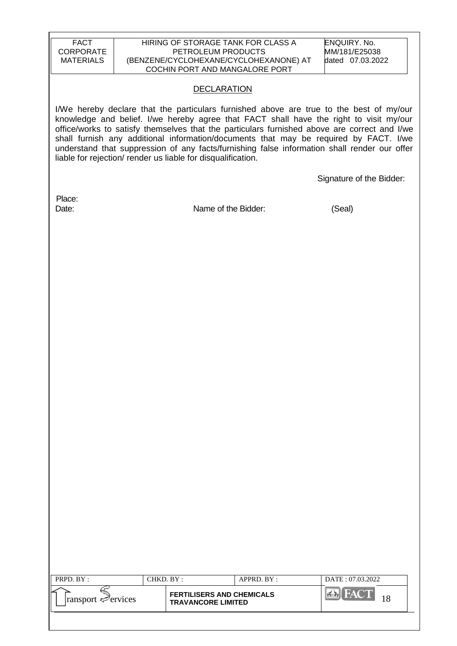| <b>FACT</b><br><b>CORPORATE</b><br><b>MATERIALS</b> |           | HIRING OF STORAGE TANK FOR CLASS A<br>PETROLEUM PRODUCTS<br>COCHIN PORT AND MANGALORE PORT | (BENZENE/CYCLOHEXANE/CYCLOHEXANONE) AT | <b>ENQUIRY. No.</b><br>MM/181/E25038<br>dated 07.03.2022                                                                                                                                                                                                                                                                                                                                                                                                                   |
|-----------------------------------------------------|-----------|--------------------------------------------------------------------------------------------|----------------------------------------|----------------------------------------------------------------------------------------------------------------------------------------------------------------------------------------------------------------------------------------------------------------------------------------------------------------------------------------------------------------------------------------------------------------------------------------------------------------------------|
|                                                     |           | <b>DECLARATION</b>                                                                         |                                        |                                                                                                                                                                                                                                                                                                                                                                                                                                                                            |
|                                                     |           | liable for rejection/ render us liable for disqualification.                               |                                        | I/We hereby declare that the particulars furnished above are true to the best of my/our<br>knowledge and belief. I/we hereby agree that FACT shall have the right to visit my/our<br>office/works to satisfy themselves that the particulars furnished above are correct and I/we<br>shall furnish any additional information/documents that may be required by FACT. I/we<br>understand that suppression of any facts/furnishing false information shall render our offer |
|                                                     |           |                                                                                            |                                        | Signature of the Bidder:                                                                                                                                                                                                                                                                                                                                                                                                                                                   |
| Place:<br>Date:                                     |           | Name of the Bidder:                                                                        |                                        | (Seal)                                                                                                                                                                                                                                                                                                                                                                                                                                                                     |
|                                                     |           |                                                                                            |                                        |                                                                                                                                                                                                                                                                                                                                                                                                                                                                            |
|                                                     |           |                                                                                            |                                        |                                                                                                                                                                                                                                                                                                                                                                                                                                                                            |
|                                                     |           |                                                                                            |                                        |                                                                                                                                                                                                                                                                                                                                                                                                                                                                            |
|                                                     |           |                                                                                            |                                        |                                                                                                                                                                                                                                                                                                                                                                                                                                                                            |
|                                                     |           |                                                                                            |                                        |                                                                                                                                                                                                                                                                                                                                                                                                                                                                            |
|                                                     |           |                                                                                            |                                        |                                                                                                                                                                                                                                                                                                                                                                                                                                                                            |
|                                                     |           |                                                                                            |                                        |                                                                                                                                                                                                                                                                                                                                                                                                                                                                            |
|                                                     |           |                                                                                            |                                        |                                                                                                                                                                                                                                                                                                                                                                                                                                                                            |
|                                                     |           |                                                                                            |                                        |                                                                                                                                                                                                                                                                                                                                                                                                                                                                            |
|                                                     |           |                                                                                            |                                        |                                                                                                                                                                                                                                                                                                                                                                                                                                                                            |
|                                                     |           |                                                                                            |                                        |                                                                                                                                                                                                                                                                                                                                                                                                                                                                            |
|                                                     |           |                                                                                            |                                        |                                                                                                                                                                                                                                                                                                                                                                                                                                                                            |
|                                                     |           |                                                                                            |                                        |                                                                                                                                                                                                                                                                                                                                                                                                                                                                            |
|                                                     |           |                                                                                            |                                        |                                                                                                                                                                                                                                                                                                                                                                                                                                                                            |
| PRPD. BY:                                           | CHKD. BY: |                                                                                            | APPRD. BY:                             | DATE: 07.03.2022                                                                                                                                                                                                                                                                                                                                                                                                                                                           |
| ransport Pervices                                   |           | <b>FERTILISERS AND CHEMICALS</b><br><b>TRAVANCORE LIMITED</b>                              |                                        | <b>FACT</b><br>18                                                                                                                                                                                                                                                                                                                                                                                                                                                          |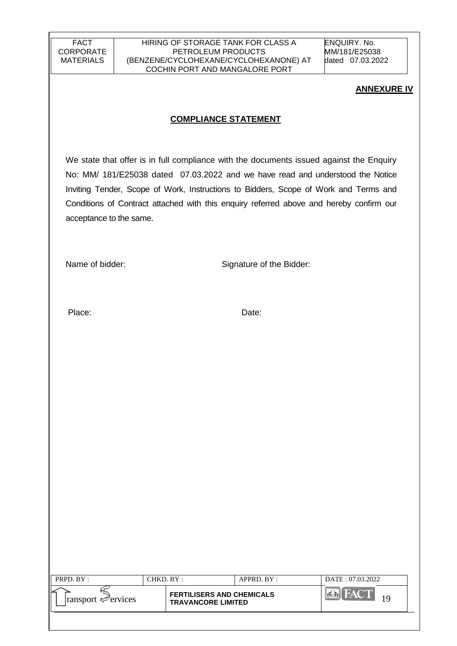ENQUIRY. No. MM/181/E25038 dated 07.03.2022

#### **ANNEXURE IV**

### **COMPLIANCE STATEMENT**

We state that offer is in full compliance with the documents issued against the Enquiry No: MM/ 181/E25038 dated 07.03.2022 and we have read and understood the Notice Inviting Tender, Scope of Work, Instructions to Bidders, Scope of Work and Terms and Conditions of Contract attached with this enquiry referred above and hereby confirm our acceptance to the same.

Name of bidder: Signature of the Bidder:

Place: Date:

| PRPD. BY :                  | CHKD. BY :                                                    | APPRD. BY: | DATE: 07.03.2022 |
|-----------------------------|---------------------------------------------------------------|------------|------------------|
| ransport $\epsilon$ ervices | <b>FERTILISERS AND CHEMICALS</b><br><b>TRAVANCORE LIMITED</b> |            |                  |
|                             |                                                               |            |                  |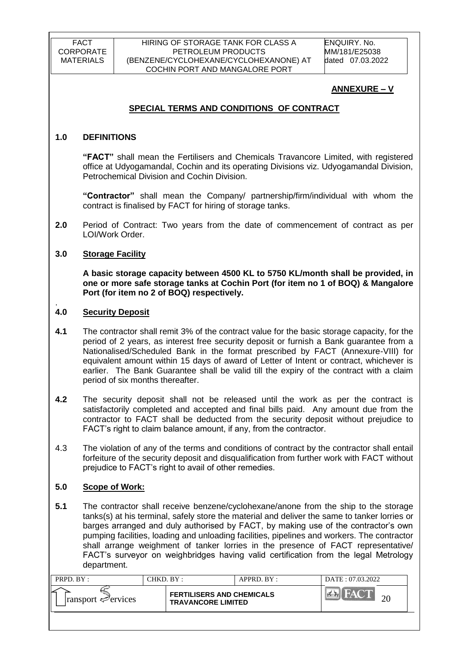ENQUIRY. No. MM/181/E25038 dated 07.03.2022

# **ANNEXURE – V**

# **SPECIAL TERMS AND CONDITIONS OF CONTRACT**

### **1.0 DEFINITIONS**

**"FACT"** shall mean the Fertilisers and Chemicals Travancore Limited, with registered office at Udyogamandal, Cochin and its operating Divisions viz. Udyogamandal Division, Petrochemical Division and Cochin Division.

**"Contractor"** shall mean the Company/ partnership/firm/individual with whom the contract is finalised by FACT for hiring of storage tanks.

**2.0** Period of Contract: Two years from the date of commencement of contract as per LOI/Work Order.

### **3.0 Storage Facility**

**A basic storage capacity between 4500 KL to 5750 KL/month shall be provided, in one or more safe storage tanks at Cochin Port (for item no 1 of BOQ) & Mangalore Port (for item no 2 of BOQ) respectively.**

#### . **4.0 Security Deposit**

- **4.1** The contractor shall remit 3% of the contract value for the basic storage capacity, for the period of 2 years, as interest free security deposit or furnish a Bank guarantee from a Nationalised/Scheduled Bank in the format prescribed by FACT (Annexure-VIII) for equivalent amount within 15 days of award of Letter of Intent or contract, whichever is earlier. The Bank Guarantee shall be valid till the expiry of the contract with a claim period of six months thereafter.
- **4.2** The security deposit shall not be released until the work as per the contract is satisfactorily completed and accepted and final bills paid. Any amount due from the contractor to FACT shall be deducted from the security deposit without prejudice to FACT"s right to claim balance amount, if any, from the contractor.
- 4.3 The violation of any of the terms and conditions of contract by the contractor shall entail forfeiture of the security deposit and disqualification from further work with FACT without prejudice to FACT"s right to avail of other remedies.

## **5.0 Scope of Work:**

**5.1** The contractor shall receive benzene/cyclohexane/anone from the ship to the storage tanks(s) at his terminal, safely store the material and deliver the same to tanker lorries or barges arranged and duly authorised by FACT, by making use of the contractor's own pumping facilities, loading and unloading facilities, pipelines and workers. The contractor shall arrange weighment of tanker lorries in the presence of FACT representative/ FACT"s surveyor on weighbridges having valid certification from the legal Metrology department.

| PRPD. BY:                       | $CHKD$ $BY$ : |                                                               | APPRD. BY: | DATE: 07.03.2022 |  |
|---------------------------------|---------------|---------------------------------------------------------------|------------|------------------|--|
| $\lvert$ ransport $\ll$ ervices |               | <b>FERTILISERS AND CHEMICALS</b><br><b>TRAVANCORE LIMITED</b> |            |                  |  |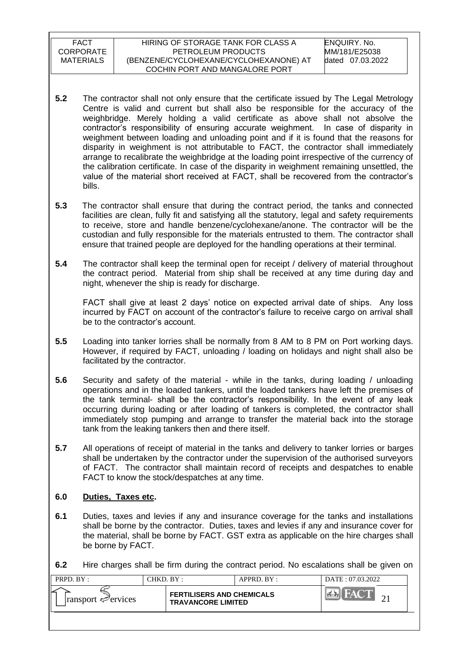- **5.2** The contractor shall not only ensure that the certificate issued by The Legal Metrology Centre is valid and current but shall also be responsible for the accuracy of the weighbridge. Merely holding a valid certificate as above shall not absolve the contractor"s responsibility of ensuring accurate weighment. In case of disparity in weighment between loading and unloading point and if it is found that the reasons for disparity in weighment is not attributable to FACT, the contractor shall immediately arrange to recalibrate the weighbridge at the loading point irrespective of the currency of the calibration certificate. In case of the disparity in weighment remaining unsettled, the value of the material short received at FACT, shall be recovered from the contractor"s bills.
- **5.3** The contractor shall ensure that during the contract period, the tanks and connected facilities are clean, fully fit and satisfying all the statutory, legal and safety requirements to receive, store and handle benzene/cyclohexane/anone. The contractor will be the custodian and fully responsible for the materials entrusted to them. The contractor shall ensure that trained people are deployed for the handling operations at their terminal.
- **5.4** The contractor shall keep the terminal open for receipt / delivery of material throughout the contract period. Material from ship shall be received at any time during day and night, whenever the ship is ready for discharge.

FACT shall give at least 2 days' notice on expected arrival date of ships. Any loss incurred by FACT on account of the contractor"s failure to receive cargo on arrival shall be to the contractor's account.

- **5.5** Loading into tanker lorries shall be normally from 8 AM to 8 PM on Port working days. However, if required by FACT, unloading / loading on holidays and night shall also be facilitated by the contractor.
- **5.6** Security and safety of the material while in the tanks, during loading / unloading operations and in the loaded tankers, until the loaded tankers have left the premises of the tank terminal- shall be the contractor"s responsibility. In the event of any leak occurring during loading or after loading of tankers is completed, the contractor shall immediately stop pumping and arrange to transfer the material back into the storage tank from the leaking tankers then and there itself.
- **5.7** All operations of receipt of material in the tanks and delivery to tanker lorries or barges shall be undertaken by the contractor under the supervision of the authorised surveyors of FACT. The contractor shall maintain record of receipts and despatches to enable FACT to know the stock/despatches at any time.

## **6.0 Duties, Taxes etc.**

- **6.1** Duties, taxes and levies if any and insurance coverage for the tanks and installations shall be borne by the contractor. Duties, taxes and levies if any and insurance cover for the material, shall be borne by FACT. GST extra as applicable on the hire charges shall be borne by FACT.
- **6.2** Hire charges shall be firm during the contract period. No escalations shall be given on

| ∠<br><b>FERTILISERS AND CHEMICALS</b>                                |  |
|----------------------------------------------------------------------|--|
| $\lvert$ ransport $\mathcal{P}$ ervices<br><b>TRAVANCORE LIMITED</b> |  |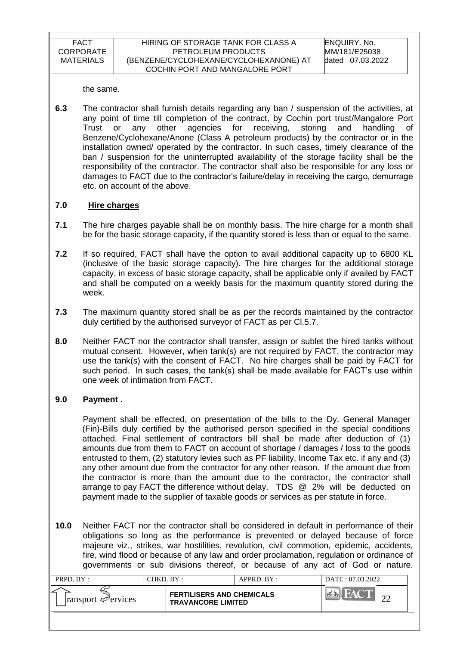the same.

**6.3** The contractor shall furnish details regarding any ban / suspension of the activities, at any point of time till completion of the contract, by Cochin port trust/Mangalore Port Trust or any other agencies for receiving, storing and handling of Benzene/Cyclohexane/Anone (Class A petroleum products) by the contractor or in the installation owned/ operated by the contractor. In such cases, timely clearance of the ban / suspension for the uninterrupted availability of the storage facility shall be the responsibility of the contractor. The contractor shall also be responsible for any loss or damages to FACT due to the contractor"s failure/delay in receiving the cargo, demurrage etc. on account of the above.

### **7.0 Hire charges**

- **7.1** The hire charges payable shall be on monthly basis. The hire charge for a month shall be for the basic storage capacity, if the quantity stored is less than or equal to the same.
- **7.2** If so required, FACT shall have the option to avail additional capacity up to 6800 KL (inclusive of the basic storage capacity)**.** The hire charges for the additional storage capacity, in excess of basic storage capacity, shall be applicable only if availed by FACT and shall be computed on a weekly basis for the maximum quantity stored during the week.
- **7.3** The maximum quantity stored shall be as per the records maintained by the contractor duly certified by the authorised surveyor of FACT as per Cl.5.7.
- **8.0** Neither FACT nor the contractor shall transfer, assign or sublet the hired tanks without mutual consent. However, when tank(s) are not required by FACT, the contractor may use the tank(s) with the consent of FACT. No hire charges shall be paid by FACT for such period. In such cases, the tank(s) shall be made available for FACT"s use within one week of intimation from FACT.

## **9.0 Payment .**

Payment shall be effected, on presentation of the bills to the Dy. General Manager (Fin)-Bills duly certified by the authorised person specified in the special conditions attached. Final settlement of contractors bill shall be made after deduction of (1) amounts due from them to FACT on account of shortage / damages / loss to the goods entrusted to them, (2) statutory levies such as PF liability, Income Tax etc. if any and (3) any other amount due from the contractor for any other reason. If the amount due from the contractor is more than the amount due to the contractor, the contractor shall arrange to pay FACT the difference without delay. TDS @ 2% will be deducted on payment made to the supplier of taxable goods or services as per statute in force.

**10.0** Neither FACT nor the contractor shall be considered in default in performance of their obligations so long as the performance is prevented or delayed because of force majeure viz., strikes, war hostilities, revolution, civil commotion, epidemic, accidents, fire, wind flood or because of any law and order proclamation, regulation or ordinance of governments or sub divisions thereof, or because of any act of God or nature.

| PRPD. BY:                       | CHKD. BY: |                                                               | APPRD. BY: | DATE: 07.03.2022 |
|---------------------------------|-----------|---------------------------------------------------------------|------------|------------------|
| $\lvert$ ransport $\ll$ ervices |           | <b>FERTILISERS AND CHEMICALS</b><br><b>TRAVANCORE LIMITED</b> |            |                  |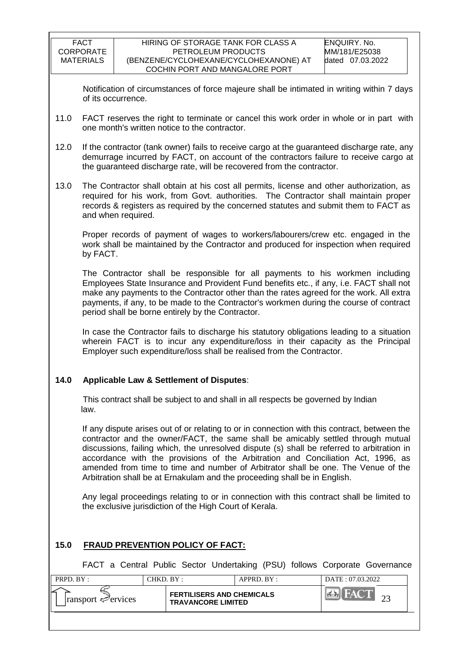Notification of circumstances of force majeure shall be intimated in writing within 7 days of its occurrence.

- 11.0 FACT reserves the right to terminate or cancel this work order in whole or in part with one month's written notice to the contractor.
- 12.0 If the contractor (tank owner) fails to receive cargo at the guaranteed discharge rate, any demurrage incurred by FACT, on account of the contractors failure to receive cargo at the guaranteed discharge rate, will be recovered from the contractor.
- 13.0 The Contractor shall obtain at his cost all permits, license and other authorization, as required for his work, from Govt. authorities. The Contractor shall maintain proper records & registers as required by the concerned statutes and submit them to FACT as and when required.

Proper records of payment of wages to workers/labourers/crew etc. engaged in the work shall be maintained by the Contractor and produced for inspection when required by FACT.

The Contractor shall be responsible for all payments to his workmen including Employees State Insurance and Provident Fund benefits etc., if any, i.e. FACT shall not make any payments to the Contractor other than the rates agreed for the work. All extra payments, if any, to be made to the Contractor's workmen during the course of contract period shall be borne entirely by the Contractor.

In case the Contractor fails to discharge his statutory obligations leading to a situation wherein FACT is to incur any expenditure/loss in their capacity as the Principal Employer such expenditure/loss shall be realised from the Contractor.

## **14.0 Applicable Law & Settlement of Disputes**:

This contract shall be subject to and shall in all respects be governed by Indian law.

If any dispute arises out of or relating to or in connection with this contract, between the contractor and the owner/FACT, the same shall be amicably settled through mutual discussions, failing which, the unresolved dispute (s) shall be referred to arbitration in accordance with the provisions of the Arbitration and Conciliation Act, 1996, as amended from time to time and number of Arbitrator shall be one. The Venue of the Arbitration shall be at Ernakulam and the proceeding shall be in English.

Any legal proceedings relating to or in connection with this contract shall be limited to the exclusive jurisdiction of the High Court of Kerala.

## **15.0 FRAUD PREVENTION POLICY OF FACT:**

FACT a Central Public Sector Undertaking (PSU) follows Corporate Governance

| PRPD. BY:                       | CHKD. BY : |                                                               | APPRD. BY: | DATE: 07.03.2022 |  |
|---------------------------------|------------|---------------------------------------------------------------|------------|------------------|--|
| $\lvert$ ransport $\ll$ ervices |            | <b>FERTILISERS AND CHEMICALS</b><br><b>TRAVANCORE LIMITED</b> |            | in/A             |  |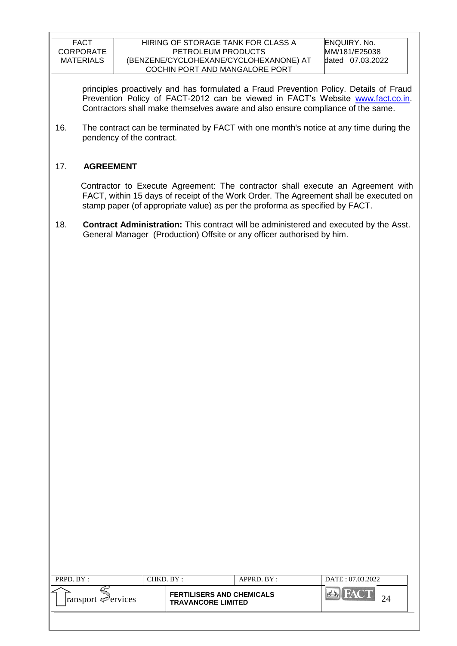#### HIRING OF STORAGE TANK FOR CLASS A PETROLEUM PRODUCTS (BENZENE/CYCLOHEXANE/CYCLOHEXANONE) AT COCHIN PORT AND MANGALORE PORT

ENQUIRY. No. MM/181/E25038 dated 07.03.2022

principles proactively and has formulated a Fraud Prevention Policy. Details of Fraud Prevention Policy of FACT-2012 can be viewed in FACT"s Website [www.fact.co.in.](http://www.fact.co.in/) Contractors shall make themselves aware and also ensure compliance of the same.

16. The contract can be terminated by FACT with one month's notice at any time during the pendency of the contract.

## 17. **AGREEMENT**

 Contractor to Execute Agreement: The contractor shall execute an Agreement with FACT, within 15 days of receipt of the Work Order. The Agreement shall be executed on stamp paper (of appropriate value) as per the proforma as specified by FACT.

18. **Contract Administration:** This contract will be administered and executed by the Asst. General Manager (Production) Offsite or any officer authorised by him.

| PRPD. BY:                                      | CHKD. BY :                                                    | APPRD. BY: | DATE: 07.03.2022 |
|------------------------------------------------|---------------------------------------------------------------|------------|------------------|
| ے ا<br>$\lvert$ ransport $\mathcal{P}$ ervices | <b>FERTILISERS AND CHEMICALS</b><br><b>TRAVANCORE LIMITED</b> |            | <b>HACT</b>      |
|                                                |                                                               |            |                  |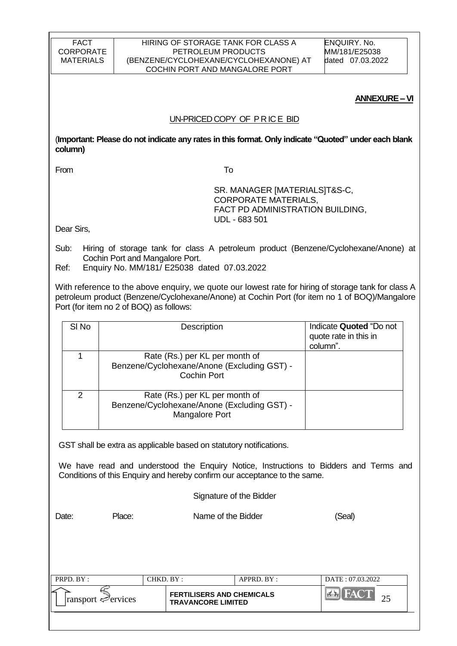#### HIRING OF STORAGE TANK FOR CLASS A PETROLEUM PRODUCTS (BENZENE/CYCLOHEXANE/CYCLOHEXANONE) AT COCHIN PORT AND MANGALORE PORT

ENQUIRY. No. MM/181/E25038 dated 07.03.2022

#### **ANNEXURE –VI**

#### UN-PRICED COPY OF P R IC E BID

(**Important: Please do not indicate any rates in this format. Only indicate "Quoted" under each blank column)**

From To

 SR. MANAGER [MATERIALS]T&S-C, CORPORATE MATERIALS, FACT PD ADMINISTRATION BUILDING, UDL - 683 501

Dear Sirs,

Sub: Hiring of storage tank for class A petroleum product (Benzene/Cyclohexane/Anone) at Cochin Port and Mangalore Port.

Ref: Enquiry No. MM/181/ E25038 dated 07.03.2022

With reference to the above enquiry, we quote our lowest rate for hiring of storage tank for class A petroleum product (Benzene/Cyclohexane/Anone) at Cochin Port (for item no 1 of BOQ)/Mangalore Port (for item no 2 of BOQ) as follows:

| SI <sub>No</sub> | Description                                                                                     | Indicate Quoted "Do not<br>quote rate in this in<br>column". |
|------------------|-------------------------------------------------------------------------------------------------|--------------------------------------------------------------|
|                  | Rate (Rs.) per KL per month of<br>Benzene/Cyclohexane/Anone (Excluding GST) -<br>Cochin Port    |                                                              |
| $\mathcal{P}$    | Rate (Rs.) per KL per month of<br>Benzene/Cyclohexane/Anone (Excluding GST) -<br>Mangalore Port |                                                              |

GST shall be extra as applicable based on statutory notifications.

We have read and understood the Enquiry Notice, Instructions to Bidders and Terms and Conditions of this Enquiry and hereby confirm our acceptance to the same.

Signature of the Bidder

Date: Place: Name of the Bidder (Seal)

| ∠<br><b>FERTILISERS AND CHEMICALS</b><br>$\lvert$ ransport $\mathcal{P}$ ervices<br><b>TRAVANCORE LIMITED</b> |  |
|---------------------------------------------------------------------------------------------------------------|--|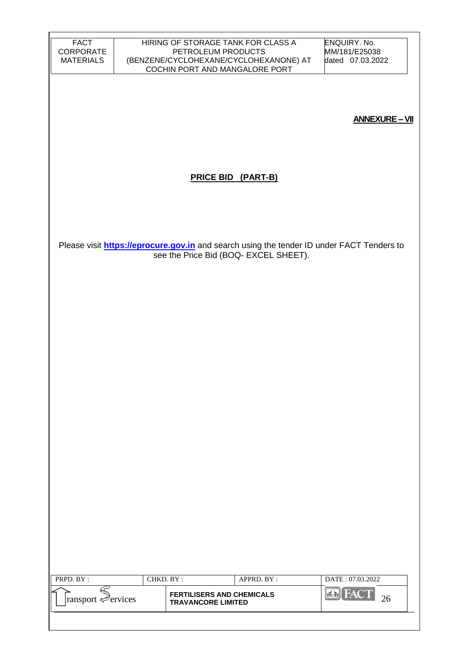| <b>FACT</b><br>CORPORATE<br><b>MATERIALS</b> |           | HIRING OF STORAGE TANK FOR CLASS A<br>PETROLEUM PRODUCTS | (BENZENE/CYCLOHEXANE/CYCLOHEXANONE) AT | <b>ENQUIRY. No.</b><br>MM/181/E25038<br>dated 07.03.2022                                         |
|----------------------------------------------|-----------|----------------------------------------------------------|----------------------------------------|--------------------------------------------------------------------------------------------------|
|                                              |           | COCHIN PORT AND MANGALORE PORT                           |                                        |                                                                                                  |
|                                              |           |                                                          |                                        |                                                                                                  |
|                                              |           |                                                          |                                        |                                                                                                  |
|                                              |           |                                                          |                                        | <b>ANNEXURE - VII</b>                                                                            |
|                                              |           |                                                          |                                        |                                                                                                  |
|                                              |           |                                                          |                                        |                                                                                                  |
|                                              |           | <b>PRICE BID (PART-B)</b>                                |                                        |                                                                                                  |
|                                              |           |                                                          |                                        |                                                                                                  |
|                                              |           |                                                          |                                        |                                                                                                  |
|                                              |           |                                                          |                                        |                                                                                                  |
|                                              |           |                                                          |                                        | Please visit <b>https://eprocure.gov.in</b> and search using the tender ID under FACT Tenders to |
|                                              |           |                                                          | see the Price Bid (BOQ- EXCEL SHEET).  |                                                                                                  |
|                                              |           |                                                          |                                        |                                                                                                  |
|                                              |           |                                                          |                                        |                                                                                                  |
|                                              |           |                                                          |                                        |                                                                                                  |
|                                              |           |                                                          |                                        |                                                                                                  |
|                                              |           |                                                          |                                        |                                                                                                  |
|                                              |           |                                                          |                                        |                                                                                                  |
|                                              |           |                                                          |                                        |                                                                                                  |
|                                              |           |                                                          |                                        |                                                                                                  |
|                                              |           |                                                          |                                        |                                                                                                  |
|                                              |           |                                                          |                                        |                                                                                                  |
|                                              |           |                                                          |                                        |                                                                                                  |
|                                              |           |                                                          |                                        |                                                                                                  |
|                                              |           |                                                          |                                        |                                                                                                  |
|                                              |           |                                                          |                                        |                                                                                                  |
|                                              |           |                                                          |                                        |                                                                                                  |
|                                              |           |                                                          |                                        |                                                                                                  |
|                                              |           |                                                          |                                        |                                                                                                  |
|                                              |           |                                                          |                                        |                                                                                                  |
| PRPD. BY:                                    | CHKD. BY: |                                                          | APPRD. BY:                             | DATE: 07.03.2022                                                                                 |
| Ę                                            |           | <b>FERTILISERS AND CHEMICALS</b>                         |                                        | <b>EX FACT</b>                                                                                   |
| ransport Pervices                            |           | <b>TRAVANCORE LIMITED</b>                                |                                        | 26                                                                                               |
|                                              |           |                                                          |                                        |                                                                                                  |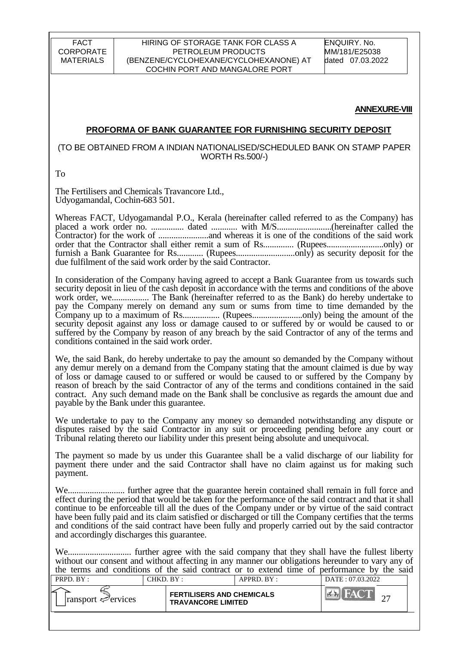#### HIRING OF STORAGE TANK FOR CLASS A PETROLEUM PRODUCTS (BENZENE/CYCLOHEXANE/CYCLOHEXANONE) AT COCHIN PORT AND MANGALORE PORT

ENQUIRY. No. MM/181/E25038 dated 07.03.2022

#### **ANNEXURE-VIII**

#### **PROFORMA OF BANK GUARANTEE FOR FURNISHING SECURITY DEPOSIT**

#### (TO BE OBTAINED FROM A INDIAN NATIONALISED/SCHEDULED BANK ON STAMP PAPER WORTH Rs.500/-)

To

The Fertilisers and Chemicals Travancore Ltd., Udyogamandal, Cochin-683 501.

Whereas FACT, Udyogamandal P.O., Kerala (hereinafter called referred to as the Company) has placed a work order no. ............... dated ............ with M/S.........................(hereinafter called the Contractor) for the work of .......................and whereas it is one of the conditions of the said work order that the Contractor shall either remit a sum of Rs.............. (Rupees..........................only) or furnish a Bank Guarantee for Rs............ (Rupees...........................only) as security deposit for the due fulfilment of the said work order by the said Contractor.

In consideration of the Company having agreed to accept a Bank Guarantee from us towards such security deposit in lieu of the cash deposit in accordance with the terms and conditions of the above work order, we................. The Bank (hereinafter referred to as the Bank) do hereby undertake to pay the Company merely on demand any sum or sums from time to time demanded by the Company up to a maximum of Rs................. (Rupees.......................only) being the amount of the security deposit against any loss or damage caused to or suffered by or would be caused to or suffered by the Company by reason of any breach by the said Contractor of any of the terms and conditions contained in the said work order.

We, the said Bank, do hereby undertake to pay the amount so demanded by the Company without any demur merely on a demand from the Company stating that the amount claimed is due by way of loss or damage caused to or suffered or would be caused to or suffered by the Company by reason of breach by the said Contractor of any of the terms and conditions contained in the said contract. Any such demand made on the Bank shall be conclusive as regards the amount due and payable by the Bank under this guarantee.

We undertake to pay to the Company any money so demanded notwithstanding any dispute or disputes raised by the said Contractor in any suit or proceeding pending before any court or Tribunal relating thereto our liability under this present being absolute and unequivocal.

The payment so made by us under this Guarantee shall be a valid discharge of our liability for payment there under and the said Contractor shall have no claim against us for making such payment.

We.......................... further agree that the guarantee herein contained shall remain in full force and effect during the period that would be taken for the performance of the said contract and that it shall continue to be enforceable till all the dues of the Company under or by virtue of the said contract have been fully paid and its claim satisfied or discharged or till the Company certifies that the terms and conditions of the said contract have been fully and properly carried out by the said contractor and accordingly discharges this guarantee.

We............................. further agree with the said company that they shall have the fullest liberty without our consent and without affecting in any manner our obligations hereunder to vary any of the terms and conditions of the said contract or to extend time of performance by the said

| PRPD. BY:                            | CHKD. BY : |                                                               | $APPRD$ . $BY$ : | DATE: 07.03.2022 |  |
|--------------------------------------|------------|---------------------------------------------------------------|------------------|------------------|--|
| ∠<br>$\lvert$ ransport $\ll$ ervices |            | <b>FERTILISERS AND CHEMICALS</b><br><b>TRAVANCORE LIMITED</b> |                  |                  |  |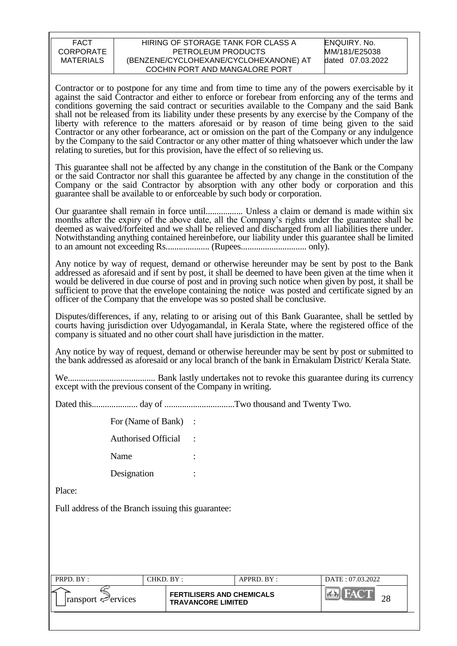#### HIRING OF STORAGE TANK FOR CLASS A PETROLEUM PRODUCTS (BENZENE/CYCLOHEXANE/CYCLOHEXANONE) AT COCHIN PORT AND MANGALORE PORT

ENQUIRY. No. MM/181/E25038 dated 07.03.2022

Contractor or to postpone for any time and from time to time any of the powers exercisable by it against the said Contractor and either to enforce or forebear from enforcing any of the terms and conditions governing the said contract or securities available to the Company and the said Bank shall not be released from its liability under these presents by any exercise by the Company of the liberty with reference to the matters aforesaid or by reason of time being given to the said Contractor or any other forbearance, act or omission on the part of the Company or any indulgence by the Company to the said Contractor or any other matter of thing whatsoever which under the law relating to sureties, but for this provision, have the effect of so relieving us.

This guarantee shall not be affected by any change in the constitution of the Bank or the Company or the said Contractor nor shall this guarantee be affected by any change in the constitution of the Company or the said Contractor by absorption with any other body or corporation and this guarantee shall be available to or enforceable by such body or corporation.

Our guarantee shall remain in force until................. Unless a claim or demand is made within six months after the expiry of the above date, all the Company"s rights under the guarantee shall be deemed as waived/forfeited and we shall be relieved and discharged from all liabilities there under. Notwithstanding anything contained hereinbefore, our liability under this guarantee shall be limited to an amount not exceeding Rs.................... (Rupees.............................. only).

Any notice by way of request, demand or otherwise hereunder may be sent by post to the Bank addressed as aforesaid and if sent by post, it shall be deemed to have been given at the time when it would be delivered in due course of post and in proving such notice when given by post, it shall be sufficient to prove that the envelope containing the notice was posted and certificate signed by an officer of the Company that the envelope was so posted shall be conclusive.

Disputes/differences, if any, relating to or arising out of this Bank Guarantee, shall be settled by courts having jurisdiction over Udyogamandal, in Kerala State, where the registered office of the company is situated and no other court shall have jurisdiction in the matter.

Any notice by way of request, demand or otherwise hereunder may be sent by post or submitted to the bank addressed as aforesaid or any local branch of the bank in Ernakulam District/ Kerala State.

We........................................ Bank lastly undertakes not to revoke this guarantee during its currency except with the previous consent of the Company in writing.

Dated this..................... day of ................................Two thousand and Twenty Two.

For (Name of Bank) :

Authorised Official :

Name

Designation :

Place:

Full address of the Branch issuing this guarantee:

| PRPD. BY:                       | $CHKD$ RY $\cdot$ |                                                               | APPRD. BY: | DATE: 07.03.2022 |  |
|---------------------------------|-------------------|---------------------------------------------------------------|------------|------------------|--|
| $\lvert$ ransport $\ll$ ervices |                   | <b>FERTILISERS AND CHEMICALS</b><br><b>TRAVANCORE LIMITED</b> |            | nς               |  |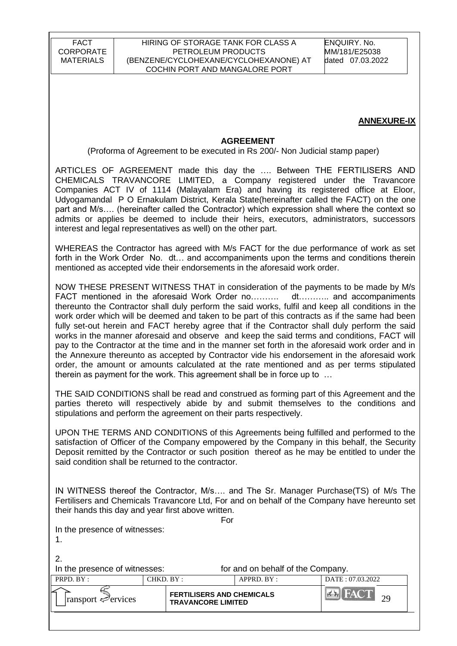ENQUIRY. No. MM/181/E25038 dated 07.03.2022

#### **ANNEXURE-IX**

#### **AGREEMENT**

(Proforma of Agreement to be executed in Rs 200/- Non Judicial stamp paper)

ARTICLES OF AGREEMENT made this day the …. Between THE FERTILISERS AND CHEMICALS TRAVANCORE LIMITED, a Company registered under the Travancore Companies ACT IV of 1114 (Malayalam Era) and having its registered office at Eloor, Udyogamandal P O Ernakulam District, Kerala State(hereinafter called the FACT) on the one part and M/s…. (hereinafter called the Contractor) which expression shall where the context so admits or applies be deemed to include their heirs, executors, administrators, successors interest and legal representatives as well) on the other part.

WHEREAS the Contractor has agreed with M/s FACT for the due performance of work as set forth in the Work Order No. dt… and accompaniments upon the terms and conditions therein mentioned as accepted vide their endorsements in the aforesaid work order.

NOW THESE PRESENT WITNESS THAT in consideration of the payments to be made by M/s FACT mentioned in the aforesaid Work Order no……….. dt……….. and accompaniments thereunto the Contractor shall duly perform the said works, fulfil and keep all conditions in the work order which will be deemed and taken to be part of this contracts as if the same had been fully set-out herein and FACT hereby agree that if the Contractor shall duly perform the said works in the manner aforesaid and observe and keep the said terms and conditions, FACT will pay to the Contractor at the time and in the manner set forth in the aforesaid work order and in the Annexure thereunto as accepted by Contractor vide his endorsement in the aforesaid work order, the amount or amounts calculated at the rate mentioned and as per terms stipulated therein as payment for the work. This agreement shall be in force up to …

THE SAID CONDITIONS shall be read and construed as forming part of this Agreement and the parties thereto will respectively abide by and submit themselves to the conditions and stipulations and perform the agreement on their parts respectively.

UPON THE TERMS AND CONDITIONS of this Agreements being fulfilled and performed to the satisfaction of Officer of the Company empowered by the Company in this behalf, the Security Deposit remitted by the Contractor or such position thereof as he may be entitled to under the said condition shall be returned to the contractor.

IN WITNESS thereof the Contractor, M/s…. and The Sr. Manager Purchase(TS) of M/s The Fertilisers and Chemicals Travancore Ltd, For and on behalf of the Company have hereunto set their hands this day and year first above written.

For

In the presence of witnesses:

1.

2.

In the presence of witnesses: for and on behalf of the Company.

| PRPD. BY:                       | CHKD. BY :-               | $APPRD$ . $BY$ :                 | DATE: 07.03.2022            |
|---------------------------------|---------------------------|----------------------------------|-----------------------------|
| $\lvert$ ransport $\ll$ ervices | <b>TRAVANCORE LIMITED</b> | <b>FERTILISERS AND CHEMICALS</b> | $\sim$ $\sim$<br>$\gamma$ Q |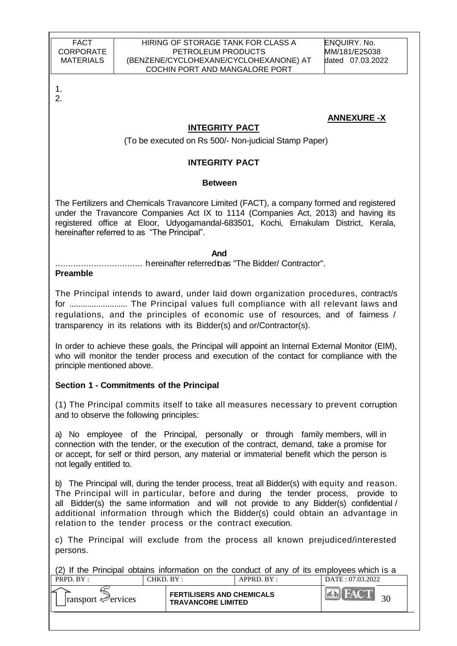**ANNEXURE -X**

1. 2.

# **INTEGRITY PACT**

(To be executed on Rs 500/- Non-judicial Stamp Paper)

## **INTEGRITY PACT**

### **Between**

The Fertilizers and Chemicals Travancore Limited (FACT), a company formed and registered under the Travancore Companies Act IX to 1114 (Companies Act, 2013) and having its registered office at Eloor, Udyogamandal-683501, Kochi, Ernakulam District, Kerala, hereinafter referred to as "The Principal".

*And* 

.................................. hereinafter referredtoas "The Bidder/ Contractor".

### **Preamble**

The Principal intends to award, under laid down organization procedures, contract/s for .......................... The Principal values full compliance with all relevant laws and regulations, and the principles of economic use of resources, and of fairness / transparency in its relations with its Bidder(s) and or/Contractor(s).

In order to achieve these goals, the Principal will appoint an Internal External Monitor (EIM), who will monitor the tender process and execution of the contact for compliance with the principle mentioned above.

## **Section 1 - Commitments of the Principal**

(1) The Principal commits itself to take all measures necessary to prevent corruption and to observe the following principles:

a) No employee of the Principal, personally or through family members, will in connection with the tender, or the execution of the contract, demand, take a promise for or accept, for self or third person, any material or immaterial benefit which the person is not legally entitled to.

b) The Principal will, during the tender process, treat all Bidder(s) with equity and reason. The Principal will in particular, before and during the tender process, provide to all Bidder(s) the same information and will not provide to any Bidder(s) confidential / additional information through which the Bidder(s) could obtain an advantage in relation to the tender process or the contract execution.

c) The Principal will exclude from the process all known prejudiced/interested persons.

PRPD. BY : CHKD. BY : APPRD. BY : DATE : 07.03.2022 (2) If the Principal obtains information on the conduct of any of its employees which is a

| ∠<br><b>FERTILISERS AND CHEMICALS</b>                        |  |
|--------------------------------------------------------------|--|
| $\lvert$ ransport $\ll$ ervices<br><b>TRAVANCORE LIMITED</b> |  |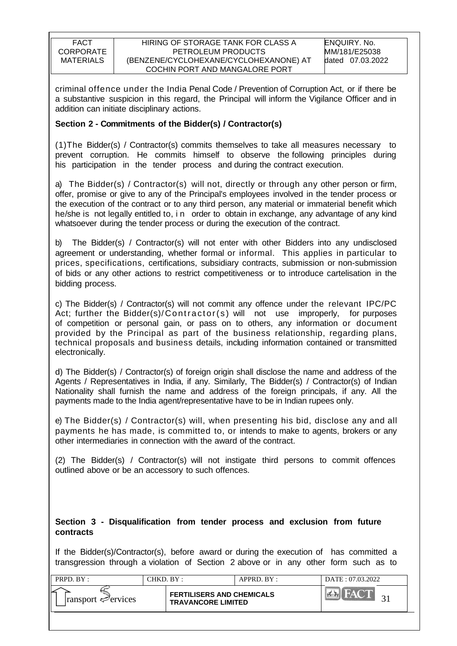criminal offence under the India Penal Code / Prevention of Corruption Act, or if there be a substantive suspicion in this regard, the Principal will inform the Vigilance Officer and in addition can initiate disciplinary actions.

### **Section 2 - Commitments of the Bidder(s) / Contractor(s)**

(1)The Bidder(s) / Contractor(s) commits themselves to take all measures necessary to prevent corruption. He commits himself to observe the following principles during his participation in the tender process and during the contract execution.

a) The Bidder(s) / Contractor(s) will not, directly or through any other person or firm, offer, promise or give to any of the Principal's employees involved in the tender process or the execution of the contract or to any third person, any material or immaterial benefit which he/she is not legally entitled to, i n order to obtain in exchange, any advantage of any kind whatsoever during the tender process or during the execution of the contract.

b) The Bidder(s) / Contractor(s) will not enter with other Bidders into any undisclosed agreement or understanding, whether formal or informal. This applies in particular to prices, specifications, certifications, subsidiary contracts, submission or non-submission of bids or any other actions to restrict competitiveness or to introduce cartelisation in the bidding process.

c) The Bidder(s) / Contractor(s) will not commit any offence under the relevant IPC/PC Act; further the Bidder(s)/ $\text{Contractor}(s)$  will not use improperly, for purposes of competition or personal gain, or pass on to others, any information or document provided by the Principal as part of the business relationship, regarding plans, technical proposals and business details, including information contained or transmitted electronically.

d) The Bidder(s) / Contractor(s) of foreign origin shall disclose the name and address of the Agents / Representatives in India, if any. Similarly, The Bidder(s) / Contractor(s) of Indian Nationality shall furnish the name and address of the foreign principals, if any. All the payments made to the India agent/representative have to be in Indian rupees only.

e) The Bidder(s) / Contractor(s) will, when presenting his bid, disclose any and all payments he has made, is committed to, or intends to make to agents, brokers or any other intermediaries in connection with the award of the contract.

(2) The Bidder(s) / Contractor(s) will not instigate third persons to commit offences outlined above or be an accessory to such offences.

### **Section 3 - Disqualification from tender process and exclusion from future contracts**

If the Bidder(s)/Contractor(s), before award or during the execution of has committed a transgression through a violation of Section 2 above or in any other form such as to

| PRPD. BY:                       | $CHKD$ $BY$ : |                                                               | APPRD. BY: | DATE: 07.03.2022 |
|---------------------------------|---------------|---------------------------------------------------------------|------------|------------------|
| $\lvert$ ransport $\ll$ ervices |               | <b>FERTILISERS AND CHEMICALS</b><br><b>TRAVANCORE LIMITED</b> |            |                  |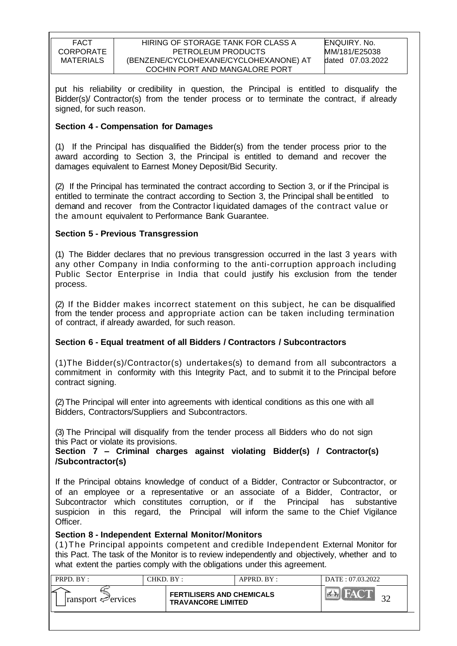put his reliability or credibility in question, the Principal is entitled to disqualify the Bidder(s)/ Contractor(s) from the tender process or to terminate the contract, if already signed, for such reason.

## **Section 4 - Compensation for Damages**

(1) If the Principal has disqualified the Bidder(s) from the tender process prior to the award according to Section 3, the Principal is entitled to demand and recover the damages equivalent to Earnest Money Deposit/Bid Security.

(2) If the Principal has terminated the contract according to Section 3, or if the Principal is entitled to terminate the contract according to Section 3, the Principal shall be entitled to demand and recover from the Contractor l iquidated damages of the contract value or the amount equivalent to Performance Bank Guarantee.

### **Section 5 - Previous Transgression**

(1) The Bidder declares that no previous transgression occurred in the last 3 years with any other Company in India conforming to the anti-corruption approach including Public Sector Enterprise in India that could justify his exclusion from the tender process.

(2) If the Bidder makes incorrect statement on this subject, he can be disqualified from the tender process and appropriate action can be taken including termination of contract, if already awarded, for such reason.

## **Section 6 - Equal treatment of all Bidders / Contractors / Subcontractors**

(1)The Bidder(s)/Contractor(s) undertakes(s) to demand from all subcontractors a commitment in conformity with this Integrity Pact, and to submit it to the Principal before contract signing.

(2)The Principal will enter into agreements with identical conditions as this one with all Bidders, Contractors/Suppliers and Subcontractors.

(3) The Principal will disqualify from the tender process all Bidders who do not sign this Pact or violate its provisions.

### **Section 7 – Criminal charges against violating Bidder(s) / Contractor(s) /Subcontractor(s)**

If the Principal obtains knowledge of conduct of a Bidder, Contractor or Subcontractor, or of an employee or a representative or an associate of a Bidder, Contractor, or Subcontractor which constitutes corruption, or if the Principal has substantive suspicion in this regard, the Principal will inform the same to the Chief Vigilance Officer.

### **Section 8 - Independent External Monitor/Monitors**

(1)The Principal appoints competent and credible Independent External Monitor for this Pact. The task of the Monitor is to review independently and objectively, whether and to what extent the parties comply with the obligations under this agreement.

| PRPD. $BY:$                     | CHKD. BY : |                                                               | APPRD. BY: | DATE: 07.03.2022 |
|---------------------------------|------------|---------------------------------------------------------------|------------|------------------|
| $\lvert$ ransport $\ll$ ervices |            | <b>FERTILISERS AND CHEMICALS</b><br><b>TRAVANCORE LIMITED</b> |            |                  |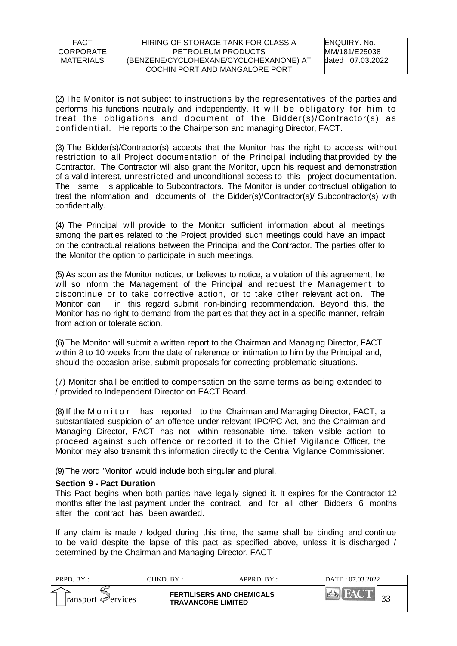(2)The Monitor is not subject to instructions by the representatives of the parties and performs his functions neutrally and independently. It will be obligatory for him to treat the obligations and document of the Bidder(s)/Contractor(s) as confidential. He reports to the Chairperson and managing Director, FACT.

(3) The Bidder(s)/Contractor(s) accepts that the Monitor has the right to access without restriction to all Project documentation of the Principal including that provided by the Contractor. The Contractor will also grant the Monitor, upon his request and demonstration of a valid interest, unrestricted and unconditional access to this project documentation. The same is applicable to Subcontractors. The Monitor is under contractual obligation to treat the information and documents of the Bidder(s)/Contractor(s)/ Subcontractor(s) with confidentially.

(4) The Principal will provide to the Monitor sufficient information about all meetings among the parties related to the Project provided such meetings could have an impact on the contractual relations between the Principal and the Contractor. The parties offer to the Monitor the option to participate in such meetings.

(5) As soon as the Monitor notices, or believes to notice, a violation of this agreement, he will so inform the Management of the Principal and request the Management to discontinue or to take corrective action, or to take other relevant action. The Monitor can in this regard submit non-binding recommendation. Beyond this, the Monitor has no right to demand from the parties that they act in a specific manner, refrain from action or tolerate action.

(6)The Monitor will submit a written report to the Chairman and Managing Director, FACT within 8 to 10 weeks from the date of reference or intimation to him by the Principal and, should the occasion arise, submit proposals for correcting problematic situations.

(7) Monitor shall be entitled to compensation on the same terms as being extended to / provided to Independent Director on FACT Board.

(8) If the M o n i t o r has reported to the Chairman and Managing Director, FACT, a substantiated suspicion of an offence under relevant IPC/PC Act, and the Chairman and Managing Director, FACT has not, within reasonable time, taken visible action to proceed against such offence or reported it to the Chief Vigilance Officer, the Monitor may also transmit this information directly to the Central Vigilance Commissioner.

(9)The word 'Monitor' would include both singular and plural.

#### **Section 9 - Pact Duration**

This Pact begins when both parties have legally signed it. It expires for the Contractor 12 months after the last payment under the contract, and for all other Bidders 6 months after the contract has been awarded.

If any claim is made / lodged during this time, the same shall be binding and continue to be valid despite the lapse of this pact as specified above, unless it is discharged / determined by the Chairman and Managing Director, FACT

| PRPD. BY:                       | CHKD. BY: |                                                               | $APPRD$ $BY:$ | DATE: 07.03.2022 |
|---------------------------------|-----------|---------------------------------------------------------------|---------------|------------------|
| $\lvert$ ransport $\ll$ ervices |           | <b>FERTILISERS AND CHEMICALS</b><br><b>TRAVANCORE LIMITED</b> |               | $\mathbb{R}^{3}$ |